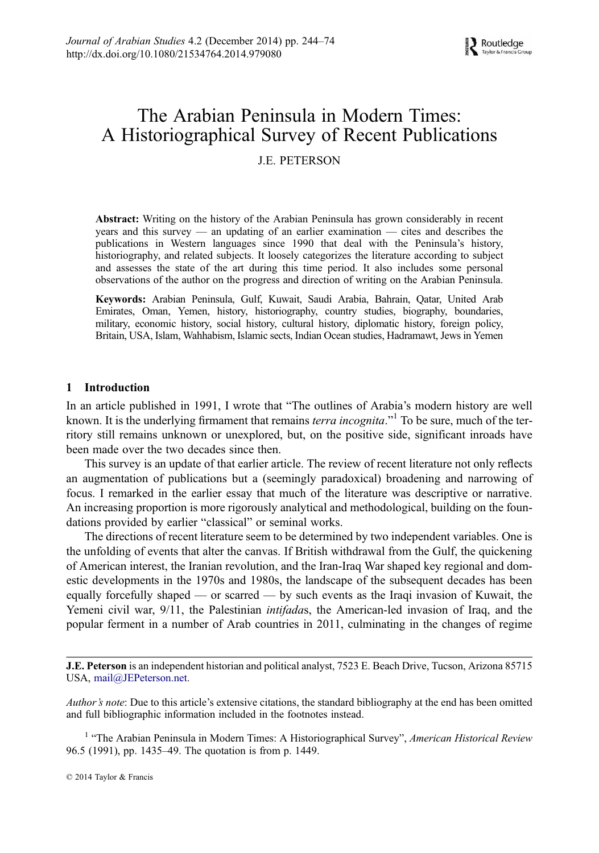# The Arabian Peninsula in Modern Times: A Historiographical Survey of Recent Publications

## J.E. PETERSON

Abstract: Writing on the history of the Arabian Peninsula has grown considerably in recent years and this survey — an updating of an earlier examination — cites and describes the publications in Western languages since 1990 that deal with the Peninsula's history, historiography, and related subjects. It loosely categorizes the literature according to subject and assesses the state of the art during this time period. It also includes some personal observations of the author on the progress and direction of writing on the Arabian Peninsula.

Keywords: Arabian Peninsula, Gulf, Kuwait, Saudi Arabia, Bahrain, Qatar, United Arab Emirates, Oman, Yemen, history, historiography, country studies, biography, boundaries, military, economic history, social history, cultural history, diplomatic history, foreign policy, Britain, USA, Islam, Wahhabism, Islamic sects, Indian Ocean studies, Hadramawt, Jews in Yemen

## 1 Introduction

In an article published in 1991, I wrote that "The outlines of Arabia's modern history are well known. It is the underlying firmament that remains *terra incognita*."<sup>1</sup> To be sure, much of the territory still remains unknown or unexplored, but, on the positive side, significant inroads have been made over the two decades since then.

This survey is an update of that earlier article. The review of recent literature not only reflects an augmentation of publications but a (seemingly paradoxical) broadening and narrowing of focus. I remarked in the earlier essay that much of the literature was descriptive or narrative. An increasing proportion is more rigorously analytical and methodological, building on the foundations provided by earlier "classical" or seminal works.

The directions of recent literature seem to be determined by two independent variables. One is the unfolding of events that alter the canvas. If British withdrawal from the Gulf, the quickening of American interest, the Iranian revolution, and the Iran-Iraq War shaped key regional and domestic developments in the 1970s and 1980s, the landscape of the subsequent decades has been equally forcefully shaped — or scarred — by such events as the Iraqi invasion of Kuwait, the Yemeni civil war,  $9/11$ , the Palestinian *intifadas*, the American-led invasion of Iraq, and the popular ferment in a number of Arab countries in 2011, culminating in the changes of regime

J.E. Peterson is an independent historian and political analyst, 7523 E. Beach Drive, Tucson, Arizona 85715 USA, [mail@JEPeterson.net](mailto:mail@JEPeterson.net).

Author's note: Due to this article's extensive citations, the standard bibliography at the end has been omitted and full bibliographic information included in the footnotes instead.

<sup>1</sup> "The Arabian Peninsula in Modern Times: A Historiographical Survey", American Historical Review 96.5 (1991), pp. 1435–49. The quotation is from p. 1449.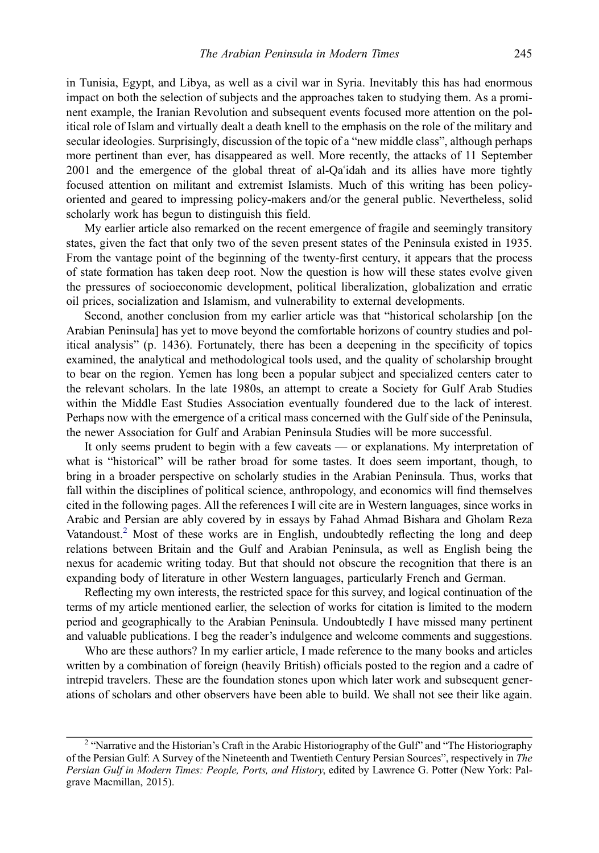in Tunisia, Egypt, and Libya, as well as a civil war in Syria. Inevitably this has had enormous impact on both the selection of subjects and the approaches taken to studying them. As a prominent example, the Iranian Revolution and subsequent events focused more attention on the political role of Islam and virtually dealt a death knell to the emphasis on the role of the military and secular ideologies. Surprisingly, discussion of the topic of a "new middle class", although perhaps more pertinent than ever, has disappeared as well. More recently, the attacks of 11 September 2001 and the emergence of the global threat of al-Qaʿidah and its allies have more tightly focused attention on militant and extremist Islamists. Much of this writing has been policyoriented and geared to impressing policy-makers and/or the general public. Nevertheless, solid scholarly work has begun to distinguish this field.

My earlier article also remarked on the recent emergence of fragile and seemingly transitory states, given the fact that only two of the seven present states of the Peninsula existed in 1935. From the vantage point of the beginning of the twenty-first century, it appears that the process of state formation has taken deep root. Now the question is how will these states evolve given the pressures of socioeconomic development, political liberalization, globalization and erratic oil prices, socialization and Islamism, and vulnerability to external developments.

Second, another conclusion from my earlier article was that "historical scholarship [on the Arabian Peninsula] has yet to move beyond the comfortable horizons of country studies and political analysis" (p. 1436). Fortunately, there has been a deepening in the specificity of topics examined, the analytical and methodological tools used, and the quality of scholarship brought to bear on the region. Yemen has long been a popular subject and specialized centers cater to the relevant scholars. In the late 1980s, an attempt to create a Society for Gulf Arab Studies within the Middle East Studies Association eventually foundered due to the lack of interest. Perhaps now with the emergence of a critical mass concerned with the Gulf side of the Peninsula, the newer Association for Gulf and Arabian Peninsula Studies will be more successful.

It only seems prudent to begin with a few caveats — or explanations. My interpretation of what is "historical" will be rather broad for some tastes. It does seem important, though, to bring in a broader perspective on scholarly studies in the Arabian Peninsula. Thus, works that fall within the disciplines of political science, anthropology, and economics will find themselves cited in the following pages. All the references I will cite are in Western languages, since works in Arabic and Persian are ably covered by in essays by Fahad Ahmad Bishara and Gholam Reza Vatandoust.<sup>2</sup> Most of these works are in English, undoubtedly reflecting the long and deep relations between Britain and the Gulf and Arabian Peninsula, as well as English being the nexus for academic writing today. But that should not obscure the recognition that there is an expanding body of literature in other Western languages, particularly French and German.

Reflecting my own interests, the restricted space for this survey, and logical continuation of the terms of my article mentioned earlier, the selection of works for citation is limited to the modern period and geographically to the Arabian Peninsula. Undoubtedly I have missed many pertinent and valuable publications. I beg the reader's indulgence and welcome comments and suggestions.

Who are these authors? In my earlier article, I made reference to the many books and articles written by a combination of foreign (heavily British) officials posted to the region and a cadre of intrepid travelers. These are the foundation stones upon which later work and subsequent generations of scholars and other observers have been able to build. We shall not see their like again.

<sup>&</sup>lt;sup>2</sup> "Narrative and the Historian's Craft in the Arabic Historiography of the Gulf" and "The Historiography of the Persian Gulf: A Survey of the Nineteenth and Twentieth Century Persian Sources", respectively in The Persian Gulf in Modern Times: People, Ports, and History, edited by Lawrence G. Potter (New York: Palgrave Macmillan, 2015).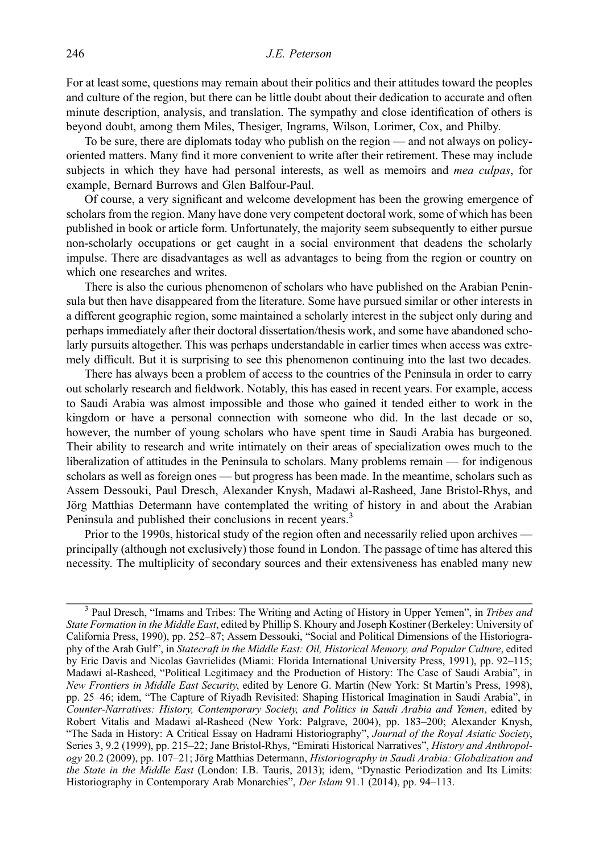For at least some, questions may remain about their politics and their attitudes toward the peoples and culture of the region, but there can be little doubt about their dedication to accurate and often minute description, analysis, and translation. The sympathy and close identification of others is beyond doubt, among them Miles, Thesiger, Ingrams, Wilson, Lorimer, Cox, and Philby.

To be sure, there are diplomats today who publish on the region — and not always on policyoriented matters. Many find it more convenient to write after their retirement. These may include subjects in which they have had personal interests, as well as memoirs and *mea culpas*, for example, Bernard Burrows and Glen Balfour-Paul.

Of course, a very significant and welcome development has been the growing emergence of scholars from the region. Many have done very competent doctoral work, some of which has been published in book or article form. Unfortunately, the majority seem subsequently to either pursue non-scholarly occupations or get caught in a social environment that deadens the scholarly impulse. There are disadvantages as well as advantages to being from the region or country on which one researches and writes.

There is also the curious phenomenon of scholars who have published on the Arabian Peninsula but then have disappeared from the literature. Some have pursued similar or other interests in a different geographic region, some maintained a scholarly interest in the subject only during and perhaps immediately after their doctoral dissertation/thesis work, and some have abandoned scholarly pursuits altogether. This was perhaps understandable in earlier times when access was extremely difficult. But it is surprising to see this phenomenon continuing into the last two decades.

There has always been a problem of access to the countries of the Peninsula in order to carry out scholarly research and fieldwork. Notably, this has eased in recent years. For example, access to Saudi Arabia was almost impossible and those who gained it tended either to work in the kingdom or have a personal connection with someone who did. In the last decade or so, however, the number of young scholars who have spent time in Saudi Arabia has burgeoned. Their ability to research and write intimately on their areas of specialization owes much to the liberalization of attitudes in the Peninsula to scholars. Many problems remain — for indigenous scholars as well as foreign ones — but progress has been made. In the meantime, scholars such as Assem Dessouki, Paul Dresch, Alexander Knysh, Madawi al-Rasheed, Jane Bristol-Rhys, and Jörg Matthias Determann have contemplated the writing of history in and about the Arabian Peninsula and published their conclusions in recent years.<sup>3</sup>

Prior to the 1990s, historical study of the region often and necessarily relied upon archives principally (although not exclusively) those found in London. The passage of time has altered this necessity. The multiplicity of secondary sources and their extensiveness has enabled many new

<sup>&</sup>lt;sup>3</sup> Paul Dresch, "Imams and Tribes: The Writing and Acting of History in Upper Yemen", in Tribes and State Formation in the Middle East, edited by Phillip S. Khoury and Joseph Kostiner (Berkeley: University of California Press, 1990), pp. 252–87; Assem Dessouki, "Social and Political Dimensions of the Historiography of the Arab Gulf", in Statecraft in the Middle East: Oil, Historical Memory, and Popular Culture, edited by Eric Davis and Nicolas Gavrielides (Miami: Florida International University Press, 1991), pp. 92–115; Madawi al-Rasheed, "Political Legitimacy and the Production of History: The Case of Saudi Arabia", in New Frontiers in Middle East Security, edited by Lenore G. Martin (New York: St Martin's Press, 1998), pp. 25–46; idem, "The Capture of Riyadh Revisited: Shaping Historical Imagination in Saudi Arabia", in Counter-Narratives: History, Contemporary Society, and Politics in Saudi Arabia and Yemen, edited by Robert Vitalis and Madawi al-Rasheed (New York: Palgrave, 2004), pp. 183–200; Alexander Knysh, "The Sada in History: A Critical Essay on Hadrami Historiography", Journal of the Royal Asiatic Society, Series 3, 9.2 (1999), pp. 215–22; Jane Bristol-Rhys, "Emirati Historical Narratives", History and Anthropology 20.2 (2009), pp. 107–21; Jörg Matthias Determann, Historiography in Saudi Arabia: Globalization and the State in the Middle East (London: I.B. Tauris, 2013); idem, "Dynastic Periodization and Its Limits: Historiography in Contemporary Arab Monarchies", Der Islam 91.1 (2014), pp. 94–113.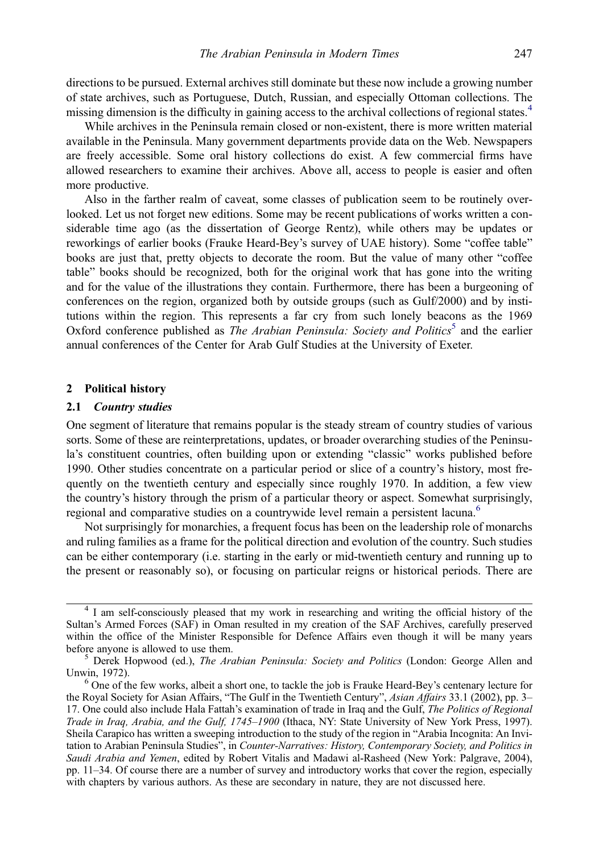directions to be pursued. External archives still dominate but these now include a growing number of state archives, such as Portuguese, Dutch, Russian, and especially Ottoman collections. The missing dimension is the difficulty in gaining access to the archival collections of regional states.<sup>4</sup>

While archives in the Peninsula remain closed or non-existent, there is more written material available in the Peninsula. Many government departments provide data on the Web. Newspapers are freely accessible. Some oral history collections do exist. A few commercial firms have allowed researchers to examine their archives. Above all, access to people is easier and often more productive.

Also in the farther realm of caveat, some classes of publication seem to be routinely overlooked. Let us not forget new editions. Some may be recent publications of works written a considerable time ago (as the dissertation of George Rentz), while others may be updates or reworkings of earlier books (Frauke Heard-Bey's survey of UAE history). Some "coffee table" books are just that, pretty objects to decorate the room. But the value of many other "coffee table" books should be recognized, both for the original work that has gone into the writing and for the value of the illustrations they contain. Furthermore, there has been a burgeoning of conferences on the region, organized both by outside groups (such as Gulf/2000) and by institutions within the region. This represents a far cry from such lonely beacons as the 1969 Oxford conference published as The Arabian Peninsula: Society and Politics<sup>5</sup> and the earlier annual conferences of the Center for Arab Gulf Studies at the University of Exeter.

#### 2 Political history

#### 2.1 Country studies

One segment of literature that remains popular is the steady stream of country studies of various sorts. Some of these are reinterpretations, updates, or broader overarching studies of the Peninsula's constituent countries, often building upon or extending "classic" works published before 1990. Other studies concentrate on a particular period or slice of a country's history, most frequently on the twentieth century and especially since roughly 1970. In addition, a few view the country's history through the prism of a particular theory or aspect. Somewhat surprisingly, regional and comparative studies on a countrywide level remain a persistent lacuna.<sup>6</sup>

Not surprisingly for monarchies, a frequent focus has been on the leadership role of monarchs and ruling families as a frame for the political direction and evolution of the country. Such studies can be either contemporary (i.e. starting in the early or mid-twentieth century and running up to the present or reasonably so), or focusing on particular reigns or historical periods. There are

<sup>&</sup>lt;sup>4</sup> I am self-consciously pleased that my work in researching and writing the official history of the Sultan's Armed Forces (SAF) in Oman resulted in my creation of the SAF Archives, carefully preserved within the office of the Minister Responsible for Defence Affairs even though it will be many years before anyone is allowed to use them.<br><sup>5</sup> Derek Hopwood (ed.), *The Arabian Peninsula: Society and Politics* (London: George Allen and

Unwin, 1972).<br><sup>6</sup> One of the few works, albeit a short one, to tackle the job is Frauke Heard-Bey's centenary lecture for

the Royal Society for Asian Affairs, "The Gulf in the Twentieth Century", Asian Affairs 33.1 (2002), pp. 3– 17. One could also include Hala Fattah's examination of trade in Iraq and the Gulf, The Politics of Regional Trade in Iraq, Arabia, and the Gulf, 1745–1900 (Ithaca, NY: State University of New York Press, 1997). Sheila Carapico has written a sweeping introduction to the study of the region in "Arabia Incognita: An Invitation to Arabian Peninsula Studies", in Counter-Narratives: History, Contemporary Society, and Politics in Saudi Arabia and Yemen, edited by Robert Vitalis and Madawi al-Rasheed (New York: Palgrave, 2004), pp. 11–34. Of course there are a number of survey and introductory works that cover the region, especially with chapters by various authors. As these are secondary in nature, they are not discussed here.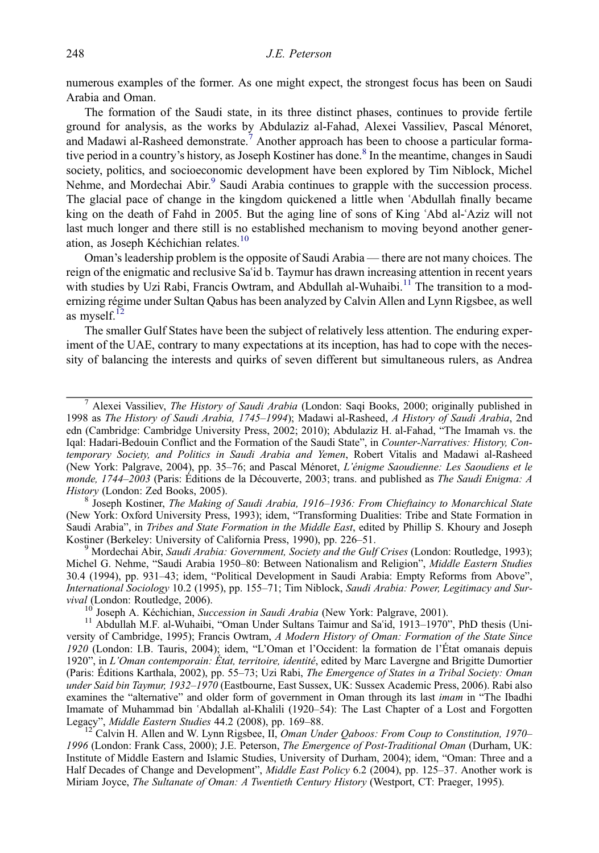numerous examples of the former. As one might expect, the strongest focus has been on Saudi Arabia and Oman.

The formation of the Saudi state, in its three distinct phases, continues to provide fertile ground for analysis, as the works by Abdulaziz al-Fahad, Alexei Vassiliev, Pascal Ménoret, and Madawi al-Rasheed demonstrate.<sup>7</sup> Another approach has been to choose a particular formative period in a country's history, as Joseph Kostiner has done.<sup>8</sup> In the meantime, changes in Saudi society, politics, and socioeconomic development have been explored by Tim Niblock, Michel Nehme, and Mordechai Abir.<sup>9</sup> Saudi Arabia continues to grapple with the succession process. The glacial pace of change in the kingdom quickened a little when ʿAbdullah finally became king on the death of Fahd in 2005. But the aging line of sons of King 'Abd al-'Aziz will not last much longer and there still is no established mechanism to moving beyond another generation, as Joseph Kéchichian relates.<sup>10</sup>

Oman's leadership problem is the opposite of Saudi Arabia — there are not many choices. The reign of the enigmatic and reclusive Saʿid b. Taymur has drawn increasing attention in recent years with studies by Uzi Rabi, Francis Owtram, and Abdullah al-Wuhaibi.<sup>11</sup> The transition to a modernizing régime under Sultan Qabus has been analyzed by Calvin Allen and Lynn Rigsbee, as well as myself.<sup>12</sup>

The smaller Gulf States have been the subject of relatively less attention. The enduring experiment of the UAE, contrary to many expectations at its inception, has had to cope with the necessity of balancing the interests and quirks of seven different but simultaneous rulers, as Andrea

(New York: Oxford University Press, 1993); idem, "Transforming Dualities: Tribe and State Formation in Saudi Arabia", in Tribes and State Formation in the Middle East, edited by Phillip S. Khoury and Joseph Kostiner (Berkeley: University of California Press, 1990), pp. 226–51.<br><sup>9</sup> Mordechai Abir, Saudi Arabia: Government, Society and the Gulf Crises (London: Routledge, 1993);

Michel G. Nehme, "Saudi Arabia 1950–80: Between Nationalism and Religion", Middle Eastern Studies 30.4 (1994), pp. 931–43; idem, "Political Development in Saudi Arabia: Empty Reforms from Above", International Sociology 10.2 (1995), pp. 155–71; Tim Niblock, Saudi Arabia: Power, Legitimacy and Survival (London: Routledge, 2006).<br><sup>10</sup> Joseph A. Kéchichian, *Succession in Saudi Arabia* (New York: Palgrave, 2001).

<sup>11</sup> Abdullah M.F. al-Wuhaibi, "Oman Under Sultans Taimur and Saʿid, 1913–1970", PhD thesis (University of Cambridge, 1995); Francis Owtram, A Modern History of Oman: Formation of the State Since 1920 (London: I.B. Tauris, 2004); idem, "L'Oman et l'Occident: la formation de l'État omanais depuis 1920", in L'Oman contemporain: État, territoire, identité, edited by Marc Lavergne and Brigitte Dumortier (Paris: Éditions Karthala, 2002), pp. 55–73; Uzi Rabi, The Emergence of States in a Tribal Society: Oman under Said bin Taymur, 1932–1970 (Eastbourne, East Sussex, UK: Sussex Academic Press, 2006). Rabi also examines the "alternative" and older form of government in Oman through its last *imam* in "The Ibadhi Imamate of Muhammad bin 'Abdallah al-Khalili (1920–54): The Last Chapter of a Lost and Forgotten Legacy", Middle Eastern Studies 44.2 (2008), pp. 169–88.

 $^{12}$  Calvin H. Allen and W. Lynn Rigsbee, II, Oman Under Qaboos: From Coup to Constitution, 1970– 1996 (London: Frank Cass, 2000); J.E. Peterson, The Emergence of Post-Traditional Oman (Durham, UK: Institute of Middle Eastern and Islamic Studies, University of Durham, 2004); idem, "Oman: Three and a Half Decades of Change and Development", Middle East Policy 6.2 (2004), pp. 125–37. Another work is Miriam Joyce, The Sultanate of Oman: A Twentieth Century History (Westport, CT: Praeger, 1995).

<sup>&</sup>lt;sup>7</sup> Alexei Vassiliev, *The History of Saudi Arabia* (London: Saqi Books, 2000; originally published in 1998 as The History of Saudi Arabia, 1745–1994); Madawi al-Rasheed, A History of Saudi Arabia, 2nd edn (Cambridge: Cambridge University Press, 2002; 2010); Abdulaziz H. al-Fahad, "The Imamah vs. the Iqal: Hadari-Bedouin Conflict and the Formation of the Saudi State", in Counter-Narratives: History, Contemporary Society, and Politics in Saudi Arabia and Yemen, Robert Vitalis and Madawi al-Rasheed (New York: Palgrave, 2004), pp. 35–76; and Pascal Ménoret, L'énigme Saoudienne: Les Saoudiens et le monde, 1744–2003 (Paris: Éditions de la Découverte, 2003; trans. and published as The Saudi Enigma: A History (London: Zed Books, 2005).<br><sup>8</sup> Joseph Kostiner, *The Making of Saudi Arabia, 1916–1936: From Chieftaincy to Monarchical State*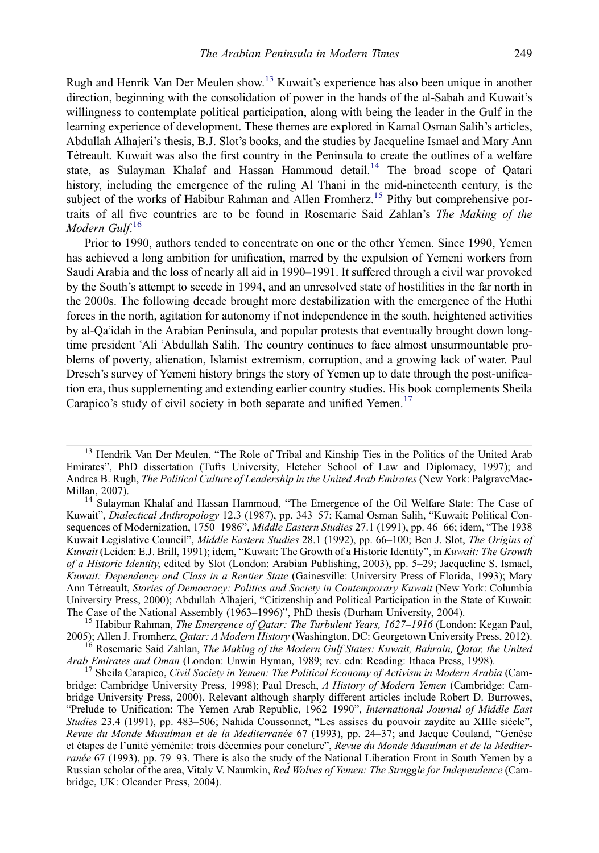Rugh and Henrik Van Der Meulen show.<sup>13</sup> Kuwait's experience has also been unique in another direction, beginning with the consolidation of power in the hands of the al-Sabah and Kuwait's willingness to contemplate political participation, along with being the leader in the Gulf in the learning experience of development. These themes are explored in Kamal Osman Salih's articles, Abdullah Alhajeri's thesis, B.J. Slot's books, and the studies by Jacqueline Ismael and Mary Ann Tétreault. Kuwait was also the first country in the Peninsula to create the outlines of a welfare state, as Sulayman Khalaf and Hassan Hammoud detail.<sup>14</sup> The broad scope of Qatari history, including the emergence of the ruling Al Thani in the mid-nineteenth century, is the subject of the works of Habibur Rahman and Allen Fromherz.<sup>15</sup> Pithy but comprehensive portraits of all five countries are to be found in Rosemarie Said Zahlan's The Making of the Modern Gulf.<sup>16</sup>

Prior to 1990, authors tended to concentrate on one or the other Yemen. Since 1990, Yemen has achieved a long ambition for unification, marred by the expulsion of Yemeni workers from Saudi Arabia and the loss of nearly all aid in 1990–1991. It suffered through a civil war provoked by the South's attempt to secede in 1994, and an unresolved state of hostilities in the far north in the 2000s. The following decade brought more destabilization with the emergence of the Huthi forces in the north, agitation for autonomy if not independence in the south, heightened activities by al-Qaʿidah in the Arabian Peninsula, and popular protests that eventually brought down longtime president ʿAli ʿAbdullah Salih. The country continues to face almost unsurmountable problems of poverty, alienation, Islamist extremism, corruption, and a growing lack of water. Paul Dresch's survey of Yemeni history brings the story of Yemen up to date through the post-unification era, thus supplementing and extending earlier country studies. His book complements Sheila Carapico's study of civil society in both separate and unified Yemen.<sup>17</sup>

<sup>&</sup>lt;sup>13</sup> Hendrik Van Der Meulen, "The Role of Tribal and Kinship Ties in the Politics of the United Arab Emirates", PhD dissertation (Tufts University, Fletcher School of Law and Diplomacy, 1997); and Andrea B. Rugh, The Political Culture of Leadership in the United Arab Emirates (New York: PalgraveMac-Millan, 2007). <sup>14</sup> Sulayman Khalaf and Hassan Hammoud, "The Emergence of the Oil Welfare State: The Case of

Kuwait", Dialectical Anthropology 12.3 (1987), pp. 343–57; Kamal Osman Salih, "Kuwait: Political Consequences of Modernization, 1750–1986", Middle Eastern Studies 27.1 (1991), pp. 46–66; idem, "The 1938 Kuwait Legislative Council", Middle Eastern Studies 28.1 (1992), pp. 66-100; Ben J. Slot, The Origins of Kuwait (Leiden: E.J. Brill, 1991); idem, "Kuwait: The Growth of a Historic Identity", in Kuwait: The Growth of a Historic Identity, edited by Slot (London: Arabian Publishing, 2003), pp. 5–29; Jacqueline S. Ismael, Kuwait: Dependency and Class in a Rentier State (Gainesville: University Press of Florida, 1993); Mary Ann Tétreault, Stories of Democracy: Politics and Society in Contemporary Kuwait (New York: Columbia University Press, 2000); Abdullah Alhajeri, "Citizenship and Political Participation in the State of Kuwait: The Case of the National Assembly (1963–1996)", PhD thesis (Durham University, 2004).

<sup>&</sup>lt;sup>15</sup> Habibur Rahman, *The Emergence of Qatar: The Turbulent Years, 1627–1916* (London: Kegan Paul, 2005); Allen J. Fromherz, *Qatar: A Modern History* (Washington, DC: Georgetown University Press, 2012).

<sup>&</sup>lt;sup>16</sup> Rosemarie Said Zahlan, *The Making of the Modern Gulf States: Kuwait, Bahrain, Qatar, the United Arab Emirates and Oman (London: Unwin Hyman, 1989; rev. edn: Reading: Ithaca Press, 1998).* 

<sup>&</sup>lt;sup>17</sup> Sheila Carapico, *Civil Society in Yemen: The Political Economy of Activism in Modern Arabia* (Cambridge: Cambridge University Press, 1998); Paul Dresch, A History of Modern Yemen (Cambridge: Cambridge University Press, 2000). Relevant although sharply different articles include Robert D. Burrowes, "Prelude to Unification: The Yemen Arab Republic, 1962–1990", International Journal of Middle East Studies 23.4 (1991), pp. 483–506; Nahida Coussonnet, "Les assises du pouvoir zaydite au XIIIe siècle", Revue du Monde Musulman et de la Mediterranée 67 (1993), pp. 24–37; and Jacque Couland, "Genèse et étapes de l'unité yéménite: trois décennies pour conclure", Revue du Monde Musulman et de la Mediterranée 67 (1993), pp. 79–93. There is also the study of the National Liberation Front in South Yemen by a Russian scholar of the area, Vitaly V. Naumkin, Red Wolves of Yemen: The Struggle for Independence (Cambridge, UK: Oleander Press, 2004).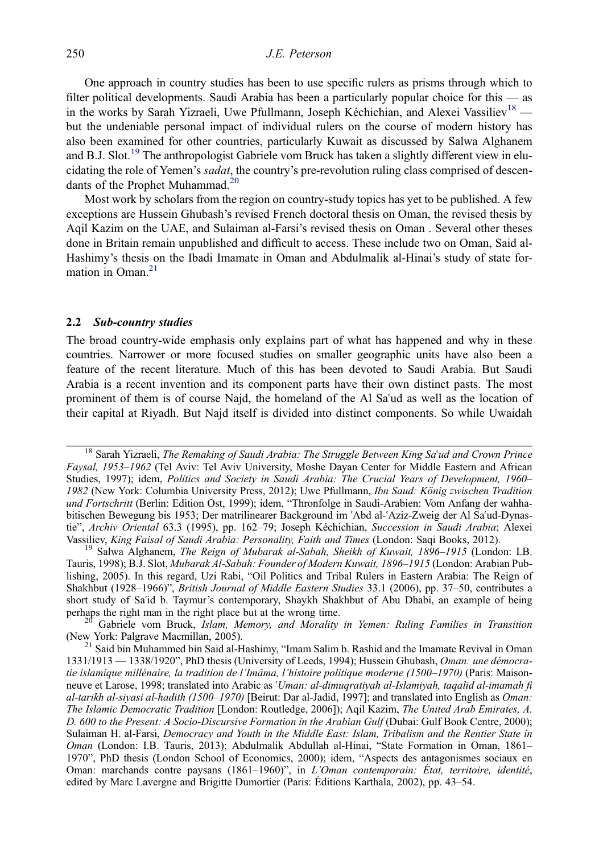One approach in country studies has been to use specific rulers as prisms through which to filter political developments. Saudi Arabia has been a particularly popular choice for this — as in the works by Sarah Yizraeli, Uwe Pfullmann, Joseph Kéchichian, and Alexei Vassiliev<sup>18</sup> but the undeniable personal impact of individual rulers on the course of modern history has also been examined for other countries, particularly Kuwait as discussed by Salwa Alghanem and B.J. Slot.<sup>19</sup> The anthropologist Gabriele vom Bruck has taken a slightly different view in elucidating the role of Yemen's sadat, the country's pre-revolution ruling class comprised of descendants of the Prophet Muhammad.<sup>20</sup>

Most work by scholars from the region on country-study topics has yet to be published. A few exceptions are Hussein Ghubash's revised French doctoral thesis on Oman, the revised thesis by Aqil Kazim on the UAE, and Sulaiman al-Farsi's revised thesis on Oman . Several other theses done in Britain remain unpublished and difficult to access. These include two on Oman, Said al-Hashimy's thesis on the Ibadi Imamate in Oman and Abdulmalik al-Hinai's study of state formation in Oman. $21$ 

#### 2.2 Sub-country studies

The broad country-wide emphasis only explains part of what has happened and why in these countries. Narrower or more focused studies on smaller geographic units have also been a feature of the recent literature. Much of this has been devoted to Saudi Arabia. But Saudi Arabia is a recent invention and its component parts have their own distinct pasts. The most prominent of them is of course Najd, the homeland of the Al Saʿud as well as the location of their capital at Riyadh. But Najd itself is divided into distinct components. So while Uwaidah

 $\frac{20}{\text{C}}$  Gabriele vom Bruck, *Islam, Memory, and Morality in Yemen: Ruling Families in Transition* (New York: Palgrave Macmillan, 2005).

<sup>21</sup> Said bin Muhammed bin Said al-Hashimy, "Imam Salim b. Rashid and the Imamate Revival in Oman 1331/1913 — 1338/1920", PhD thesis (University of Leeds, 1994); Hussein Ghubash, Oman: une démocratie islamique millénaire, la tradition de l'Imâma, l'histoire politique moderne (1500–1970) (Paris: Maisonneuve et Larose, 1998; translated into Arabic as 'Uman: al-dimuqrativah al-Islamivah, taqalid al-imamah fi al-tarikh al-siyasi al-hadith (1500–1970) [Beirut: Dar al-Jadid, 1997]; and translated into English as Oman: The Islamic Democratic Tradition [London: Routledge, 2006]); Aqil Kazim, The United Arab Emirates, A. D. 600 to the Present: A Socio-Discursive Formation in the Arabian Gulf (Dubai: Gulf Book Centre, 2000); Sulaiman H. al-Farsi, Democracy and Youth in the Middle East: Islam, Tribalism and the Rentier State in Oman (London: I.B. Tauris, 2013); Abdulmalik Abdullah al-Hinai, "State Formation in Oman, 1861– 1970", PhD thesis (London School of Economics, 2000); idem, "Aspects des antagonismes sociaux en Oman: marchands contre paysans (1861–1960)", in L'Oman contemporain: État, territoire, identité, edited by Marc Lavergne and Brigitte Dumortier (Paris: Éditions Karthala, 2002), pp. 43–54.

<sup>&</sup>lt;sup>18</sup> Sarah Yizraeli, The Remaking of Saudi Arabia: The Struggle Between King Sa'ud and Crown Prince Faysal, 1953–1962 (Tel Aviv: Tel Aviv University, Moshe Dayan Center for Middle Eastern and African Studies, 1997); idem, Politics and Society in Saudi Arabia: The Crucial Years of Development, 1960– 1982 (New York: Columbia University Press, 2012); Uwe Pfullmann, Ibn Saud: König zwischen Tradition und Fortschritt (Berlin: Edition Ost, 1999); idem, "Thronfolge in Saudi-Arabien: Vom Anfang der wahhabitischen Bewegung bis 1953; Der matrilinearer Background im ʿAbd al-ʿAziz-Zweig der Al Saʿud-Dynastie", Archiv Oriental 63.3 (1995), pp. 162–79; Joseph Kéchichian, Succession in Saudi Arabia; Alexei Vassiliev, King Faisal of Saudi Arabia: Personality, Faith and Times (London: Saqi Books, 2012).

<sup>&</sup>lt;sup>19</sup> Salwa Alghanem, *The Reign of Mubarak al-Sabah, Sheikh of Kuwait, 1896–1915* (London: I.B. Tauris, 1998); B.J. Slot, Mubarak Al-Sabah: Founder of Modern Kuwait, 1896–1915 (London: Arabian Publishing, 2005). In this regard, Uzi Rabi, "Oil Politics and Tribal Rulers in Eastern Arabia: The Reign of Shakhbut (1928–1966)", British Journal of Middle Eastern Studies 33.1 (2006), pp. 37–50, contributes a short study of Sa'id b. Taymur's contemporary, Shaykh Shakhbut of Abu Dhabi, an example of being perhaps the right man in the right place but at the wrong time.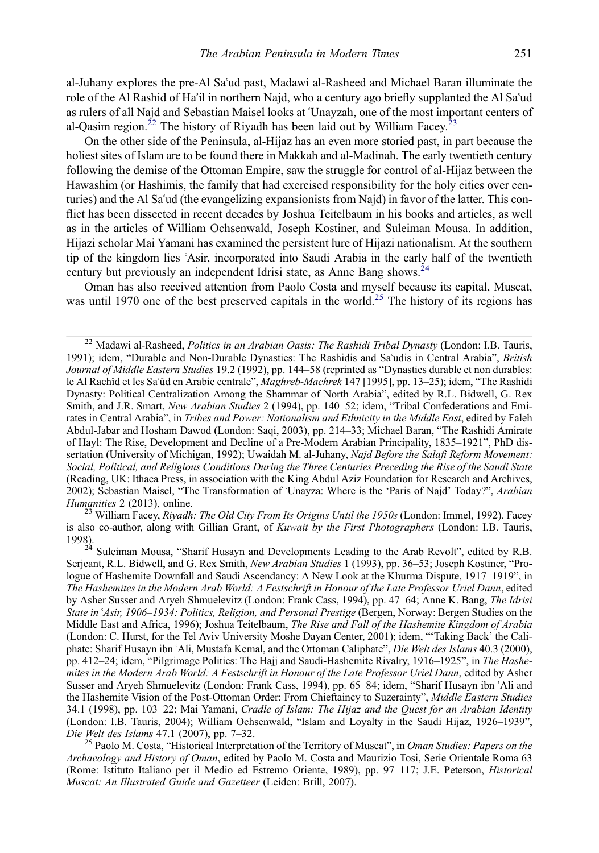al-Juhany explores the pre-Al Saʿud past, Madawi al-Rasheed and Michael Baran illuminate the role of the Al Rashid of Haʾil in northern Najd, who a century ago briefly supplanted the Al Saʿud as rulers of all Najd and Sebastian Maisel looks at ʿUnayzah, one of the most important centers of al-Qasim region.<sup>22</sup> The history of Riyadh has been laid out by William Facey.<sup>23</sup>

On the other side of the Peninsula, al-Hijaz has an even more storied past, in part because the holiest sites of Islam are to be found there in Makkah and al-Madinah. The early twentieth century following the demise of the Ottoman Empire, saw the struggle for control of al-Hijaz between the Hawashim (or Hashimis, the family that had exercised responsibility for the holy cities over centuries) and the Al Saʿud (the evangelizing expansionists from Najd) in favor of the latter. This conflict has been dissected in recent decades by Joshua Teitelbaum in his books and articles, as well as in the articles of William Ochsenwald, Joseph Kostiner, and Suleiman Mousa. In addition, Hijazi scholar Mai Yamani has examined the persistent lure of Hijazi nationalism. At the southern tip of the kingdom lies ʿAsir, incorporated into Saudi Arabia in the early half of the twentieth century but previously an independent Idrisi state, as Anne Bang shows.<sup>24</sup>

Oman has also received attention from Paolo Costa and myself because its capital, Muscat, was until 1970 one of the best preserved capitals in the world.<sup>25</sup> The history of its regions has

<sup>23</sup> William Facey, Riyadh: The Old City From Its Origins Until the 1950s (London: Immel, 1992). Facey is also co-author, along with Gillian Grant, of *Kuwait by the First Photographers* (London: I.B. Tauris,

<sup>25</sup> Paolo M. Costa, "Historical Interpretation of the Territory of Muscat", in Oman Studies: Papers on the Archaeology and History of Oman, edited by Paolo M. Costa and Maurizio Tosi, Serie Orientale Roma 63 (Rome: Istituto Italiano per il Medio ed Estremo Oriente, 1989), pp. 97–117; J.E. Peterson, Historical Muscat: An Illustrated Guide and Gazetteer (Leiden: Brill, 2007).

<sup>&</sup>lt;sup>22</sup> Madawi al-Rasheed, Politics in an Arabian Oasis: The Rashidi Tribal Dynasty (London: I.B. Tauris, 1991); idem, "Durable and Non-Durable Dynasties: The Rashidis and Sa'udis in Central Arabia", British Journal of Middle Eastern Studies 19.2 (1992), pp. 144–58 (reprinted as "Dynasties durable et non durables: le Al Rachîd et les Sa'ûd en Arabie centrale", Maghreb-Machrek 147 [1995], pp. 13–25); idem, "The Rashidi Dynasty: Political Centralization Among the Shammar of North Arabia", edited by R.L. Bidwell, G. Rex Smith, and J.R. Smart, New Arabian Studies 2 (1994), pp. 140–52; idem, "Tribal Confederations and Emirates in Central Arabia", in Tribes and Power: Nationalism and Ethnicity in the Middle East, edited by Faleh Abdul-Jabar and Hosham Dawod (London: Saqi, 2003), pp. 214–33; Michael Baran, "The Rashidi Amirate of Hayl: The Rise, Development and Decline of a Pre-Modern Arabian Principality, 1835–1921", PhD dissertation (University of Michigan, 1992); Uwaidah M. al-Juhany, Najd Before the Salafi Reform Movement: Social, Political, and Religious Conditions During the Three Centuries Preceding the Rise of the Saudi State (Reading, UK: Ithaca Press, in association with the King Abdul Aziz Foundation for Research and Archives, 2002); Sebastian Maisel, "The Transformation of 'Unayza: Where is the 'Paris of Najd' Today?", Arabian Humanities 2 (2013), online.

<sup>1998).</sup> <sup>24</sup> Suleiman Mousa, "Sharif Husayn and Developments Leading to the Arab Revolt", edited by R.B. Serjeant, R.L. Bidwell, and G. Rex Smith, New Arabian Studies 1 (1993), pp. 36–53; Joseph Kostiner, "Prologue of Hashemite Downfall and Saudi Ascendancy: A New Look at the Khurma Dispute, 1917–1919", in The Hashemites in the Modern Arab World: A Festschrift in Honour of the Late Professor Uriel Dann, edited by Asher Susser and Aryeh Shmuelevitz (London: Frank Cass, 1994), pp. 47–64; Anne K. Bang, The Idrisi State in ʿAsir, 1906–1934: Politics, Religion, and Personal Prestige (Bergen, Norway: Bergen Studies on the Middle East and Africa, 1996); Joshua Teitelbaum, The Rise and Fall of the Hashemite Kingdom of Arabia (London: C. Hurst, for the Tel Aviv University Moshe Dayan Center, 2001); idem, "'Taking Back' the Caliphate: Sharif Husayn ibn ʿAli, Mustafa Kemal, and the Ottoman Caliphate", Die Welt des Islams 40.3 (2000), pp. 412–24; idem, "Pilgrimage Politics: The Hajj and Saudi-Hashemite Rivalry, 1916–1925", in The Hashemites in the Modern Arab World: A Festschrift in Honour of the Late Professor Uriel Dann, edited by Asher Susser and Aryeh Shmuelevitz (London: Frank Cass, 1994), pp. 65–84; idem, "Sharif Husayn ibn ʿAli and the Hashemite Vision of the Post-Ottoman Order: From Chieftaincy to Suzerainty", Middle Eastern Studies 34.1 (1998), pp. 103–22; Mai Yamani, Cradle of Islam: The Hijaz and the Quest for an Arabian Identity (London: I.B. Tauris, 2004); William Ochsenwald, "Islam and Loyalty in the Saudi Hijaz, 1926–1939", *Die Welt des Islams* 47.1 (2007), pp. 7–32.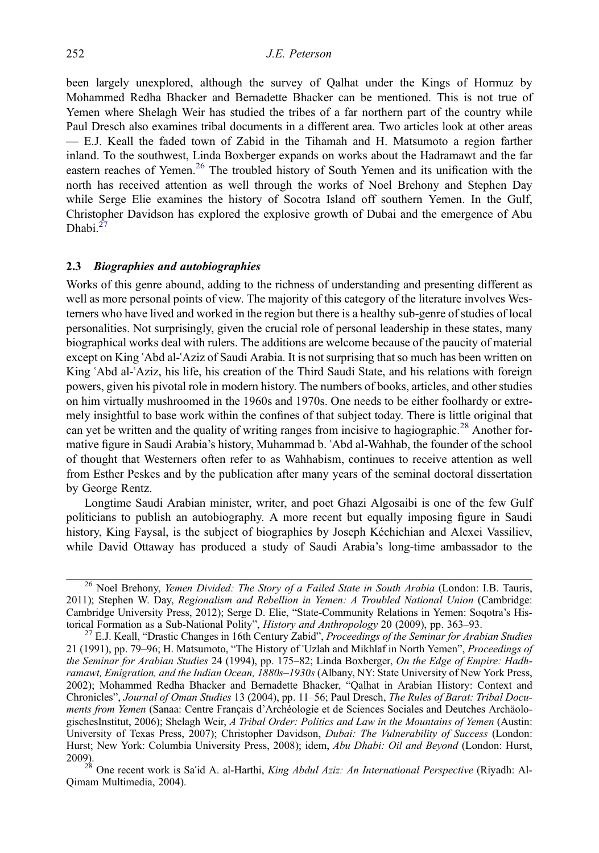been largely unexplored, although the survey of Qalhat under the Kings of Hormuz by Mohammed Redha Bhacker and Bernadette Bhacker can be mentioned. This is not true of Yemen where Shelagh Weir has studied the tribes of a far northern part of the country while Paul Dresch also examines tribal documents in a different area. Two articles look at other areas — E.J. Keall the faded town of Zabid in the Tihamah and H. Matsumoto a region farther inland. To the southwest, Linda Boxberger expands on works about the Hadramawt and the far eastern reaches of Yemen.<sup>26</sup> The troubled history of South Yemen and its unification with the north has received attention as well through the works of Noel Brehony and Stephen Day while Serge Elie examines the history of Socotra Island off southern Yemen. In the Gulf, Christopher Davidson has explored the explosive growth of Dubai and the emergence of Abu Dhabi.<sup>27</sup>

#### 2.3 Biographies and autobiographies

Works of this genre abound, adding to the richness of understanding and presenting different as well as more personal points of view. The majority of this category of the literature involves Westerners who have lived and worked in the region but there is a healthy sub-genre of studies of local personalities. Not surprisingly, given the crucial role of personal leadership in these states, many biographical works deal with rulers. The additions are welcome because of the paucity of material except on King ʿAbd al-ʿAziz of Saudi Arabia. It is not surprising that so much has been written on King ʿAbd al-ʿAziz, his life, his creation of the Third Saudi State, and his relations with foreign powers, given his pivotal role in modern history. The numbers of books, articles, and other studies on him virtually mushroomed in the 1960s and 1970s. One needs to be either foolhardy or extremely insightful to base work within the confines of that subject today. There is little original that can yet be written and the quality of writing ranges from incisive to hagiographic.<sup>28</sup> Another formative figure in Saudi Arabia's history, Muhammad b. ʿAbd al-Wahhab, the founder of the school of thought that Westerners often refer to as Wahhabism, continues to receive attention as well from Esther Peskes and by the publication after many years of the seminal doctoral dissertation by George Rentz.

Longtime Saudi Arabian minister, writer, and poet Ghazi Algosaibi is one of the few Gulf politicians to publish an autobiography. A more recent but equally imposing figure in Saudi history, King Faysal, is the subject of biographies by Joseph Kéchichian and Alexei Vassiliev, while David Ottaway has produced a study of Saudi Arabia's long-time ambassador to the

Qimam Multimedia, 2004).

 $^{26}$  Noel Brehony, *Yemen Divided: The Story of a Failed State in South Arabia* (London: I.B. Tauris, 2011); Stephen W. Day, Regionalism and Rebellion in Yemen: A Troubled National Union (Cambridge: Cambridge University Press, 2012); Serge D. Elie, "State-Community Relations in Yemen: Soqotra's Historical Formation as a Sub-National Polity", History and Anthropology 20 (2009), pp. 363-93.

 $t^{27}$  E.J. Keall, "Drastic Changes in 16th Century Zabid", Proceedings of the Seminar for Arabian Studies 21 (1991), pp. 79-96; H. Matsumoto, "The History of 'Uzlah and Mikhlaf in North Yemen", Proceedings of the Seminar for Arabian Studies 24 (1994), pp. 175–82; Linda Boxberger, On the Edge of Empire: Hadhramawt, Emigration, and the Indian Ocean, 1880s–1930s (Albany, NY: State University of New York Press, 2002); Mohammed Redha Bhacker and Bernadette Bhacker, "Qalhat in Arabian History: Context and Chronicles", Journal of Oman Studies 13 (2004), pp. 11–56; Paul Dresch, The Rules of Barat: Tribal Documents from Yemen (Sanaa: Centre Français d'Archéologie et de Sciences Sociales and Deutches ArchäologischesInstitut, 2006); Shelagh Weir, A Tribal Order: Politics and Law in the Mountains of Yemen (Austin: University of Texas Press, 2007); Christopher Davidson, Dubai: The Vulnerability of Success (London: Hurst; New York: Columbia University Press, 2008); idem, Abu Dhabi: Oil and Beyond (London: Hurst, 2009).<br><sup>28</sup> One recent work is Saʿid A. al-Harthi, *King Abdul Aziz: An International Perspective* (Riyadh: Al-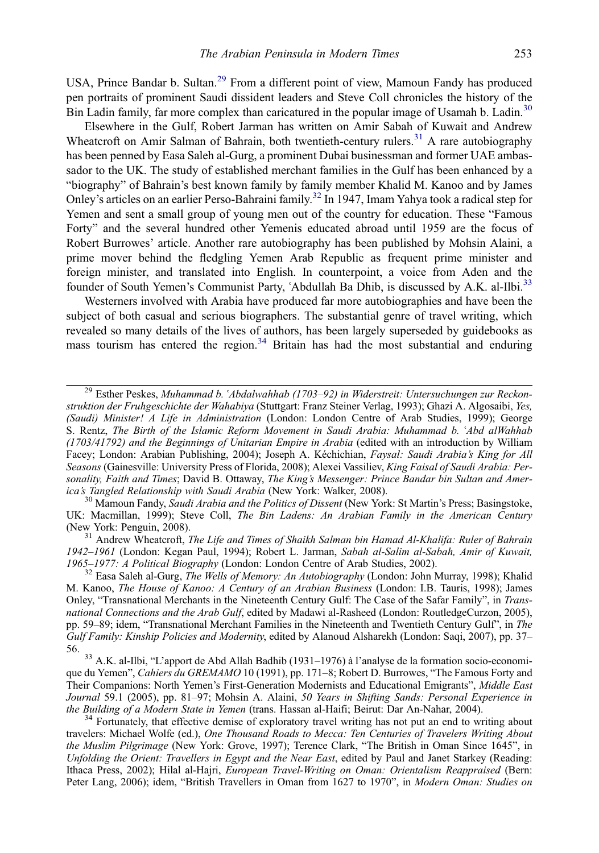USA, Prince Bandar b. Sultan.<sup>29</sup> From a different point of view, Mamoun Fandy has produced pen portraits of prominent Saudi dissident leaders and Steve Coll chronicles the history of the Bin Ladin family, far more complex than caricatured in the popular image of Usamah b. Ladin.<sup>30</sup>

Elsewhere in the Gulf, Robert Jarman has written on Amir Sabah of Kuwait and Andrew Wheatcroft on Amir Salman of Bahrain, both twentieth-century rulers.<sup>31</sup> A rare autobiography has been penned by Easa Saleh al-Gurg, a prominent Dubai businessman and former UAE ambassador to the UK. The study of established merchant families in the Gulf has been enhanced by a "biography" of Bahrain's best known family by family member Khalid M. Kanoo and by James Onley's articles on an earlier Perso-Bahraini family.32 In 1947, Imam Yahya took a radical step for Yemen and sent a small group of young men out of the country for education. These "Famous Forty" and the several hundred other Yemenis educated abroad until 1959 are the focus of Robert Burrowes' article. Another rare autobiography has been published by Mohsin Alaini, a prime mover behind the fledgling Yemen Arab Republic as frequent prime minister and foreign minister, and translated into English. In counterpoint, a voice from Aden and the founder of South Yemen's Communist Party, 'Abdullah Ba Dhib, is discussed by A.K. al-Ilbi.<sup>33</sup>

Westerners involved with Arabia have produced far more autobiographies and have been the subject of both casual and serious biographers. The substantial genre of travel writing, which revealed so many details of the lives of authors, has been largely superseded by guidebooks as mass tourism has entered the region. $34$  Britain has had the most substantial and enduring

UK: Macmillan, 1999); Steve Coll, *The Bin Ladens: An Arabian Family in the American Century* (New York: Penguin, 2008).

 $^{31}$  Andrew Wheatcroft, The Life and Times of Shaikh Salman bin Hamad Al-Khalifa: Ruler of Bahrain 1942–1961 (London: Kegan Paul, 1994); Robert L. Jarman, Sabah al-Salim al-Sabah, Amir of Kuwait, 1965–1977: A Political Biography (London: London Centre of Arab Studies, 2002).<br><sup>32</sup> Easa Saleh al-Gurg, *The Wells of Memory: An Autobiography* (London: John Murray, 1998); Khalid

M. Kanoo, The House of Kanoo: A Century of an Arabian Business (London: I.B. Tauris, 1998); James Onley, "Transnational Merchants in the Nineteenth Century Gulf: The Case of the Safar Family", in Transnational Connections and the Arab Gulf, edited by Madawi al-Rasheed (London: RoutledgeCurzon, 2005), pp. 59–89; idem, "Transnational Merchant Families in the Nineteenth and Twentieth Century Gulf", in The Gulf Family: Kinship Policies and Modernity, edited by Alanoud Alsharekh (London: Saqi, 2007), pp. 37– 56. <sup>33</sup> A.K. al-Ilbi, "L'apport de Abd Allah Badhib (1931–1976) à l'analyse de la formation socio-economi-

que du Yemen", Cahiers du GREMAMO 10 (1991), pp. 171-8; Robert D. Burrowes, "The Famous Forty and Their Companions: North Yemen's First-Generation Modernists and Educational Emigrants", Middle East Journal 59.1 (2005), pp. 81–97; Mohsin A. Alaini, 50 Years in Shifting Sands: Personal Experience in the Building of a Modern State in Yemen (trans. Hassan al-Haifi; Beirut: Dar An-Nahar, 2004).

<sup>34</sup> Fortunately, that effective demise of exploratory travel writing has not put an end to writing about travelers: Michael Wolfe (ed.), One Thousand Roads to Mecca: Ten Centuries of Travelers Writing About the Muslim Pilgrimage (New York: Grove, 1997); Terence Clark, "The British in Oman Since 1645", in Unfolding the Orient: Travellers in Egypt and the Near East, edited by Paul and Janet Starkey (Reading: Ithaca Press, 2002); Hilal al-Hajri, European Travel-Writing on Oman: Orientalism Reappraised (Bern: Peter Lang, 2006); idem, "British Travellers in Oman from 1627 to 1970", in Modern Oman: Studies on

<sup>&</sup>lt;sup>29</sup> Esther Peskes, Muhammad b. 'Abdalwahhab (1703–92) in Widerstreit: Untersuchungen zur Reckonstruktion der Fruhgeschichte der Wahabiya (Stuttgart: Franz Steiner Verlag, 1993); Ghazi A. Algosaibi, Yes, (Saudi) Minister! A Life in Administration (London: London Centre of Arab Studies, 1999); George S. Rentz, The Birth of the Islamic Reform Movement in Saudi Arabia: Muhammad b. ʿAbd alWahhab (1703/41792) and the Beginnings of Unitarian Empire in Arabia (edited with an introduction by William Facey; London: Arabian Publishing, 2004); Joseph A. Kéchichian, Faysal: Saudi Arabia's King for All Seasons (Gainesville: University Press of Florida, 2008); Alexei Vassiliev, King Faisal of Saudi Arabia: Personality, Faith and Times; David B. Ottaway, The King's Messenger: Prince Bandar bin Sultan and America's Tangled Relationship with Saudi Arabia (New York: Walker, 2008).<br><sup>30</sup> Mamoun Fandy, Saudi Arabia and the Politics of Dissent (New York: St Martin's Press; Basingstoke,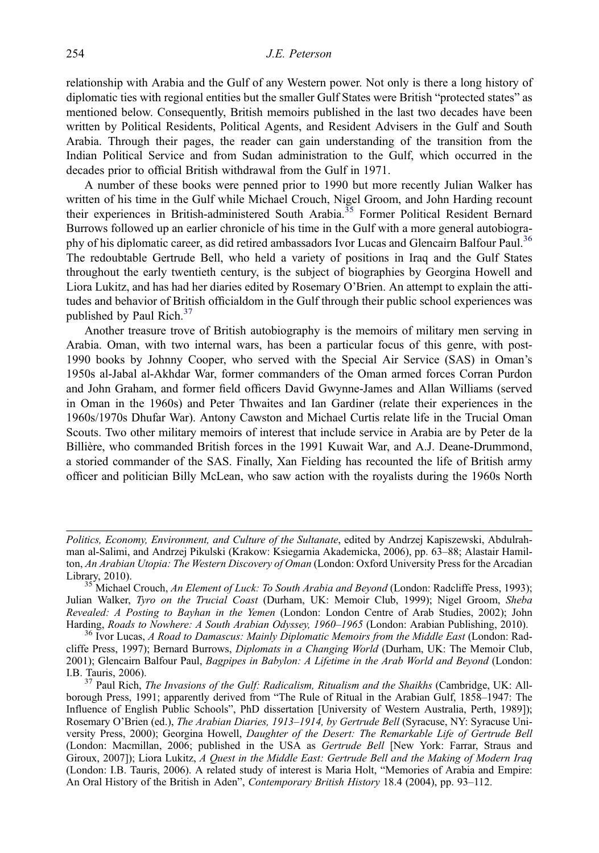relationship with Arabia and the Gulf of any Western power. Not only is there a long history of diplomatic ties with regional entities but the smaller Gulf States were British "protected states" as mentioned below. Consequently, British memoirs published in the last two decades have been written by Political Residents, Political Agents, and Resident Advisers in the Gulf and South Arabia. Through their pages, the reader can gain understanding of the transition from the Indian Political Service and from Sudan administration to the Gulf, which occurred in the decades prior to official British withdrawal from the Gulf in 1971.

A number of these books were penned prior to 1990 but more recently Julian Walker has written of his time in the Gulf while Michael Crouch, Nigel Groom, and John Harding recount their experiences in British-administered South Arabia.<sup>35</sup> Former Political Resident Bernard Burrows followed up an earlier chronicle of his time in the Gulf with a more general autobiography of his diplomatic career, as did retired ambassadors Ivor Lucas and Glencairn Balfour Paul.<sup>36</sup> The redoubtable Gertrude Bell, who held a variety of positions in Iraq and the Gulf States throughout the early twentieth century, is the subject of biographies by Georgina Howell and Liora Lukitz, and has had her diaries edited by Rosemary O'Brien. An attempt to explain the attitudes and behavior of British officialdom in the Gulf through their public school experiences was published by Paul Rich.<sup>37</sup>

Another treasure trove of British autobiography is the memoirs of military men serving in Arabia. Oman, with two internal wars, has been a particular focus of this genre, with post-1990 books by Johnny Cooper, who served with the Special Air Service (SAS) in Oman's 1950s al-Jabal al-Akhdar War, former commanders of the Oman armed forces Corran Purdon and John Graham, and former field officers David Gwynne-James and Allan Williams (served in Oman in the 1960s) and Peter Thwaites and Ian Gardiner (relate their experiences in the 1960s/1970s Dhufar War). Antony Cawston and Michael Curtis relate life in the Trucial Oman Scouts. Two other military memoirs of interest that include service in Arabia are by Peter de la Billière, who commanded British forces in the 1991 Kuwait War, and A.J. Deane-Drummond, a storied commander of the SAS. Finally, Xan Fielding has recounted the life of British army officer and politician Billy McLean, who saw action with the royalists during the 1960s North

Politics, Economy, Environment, and Culture of the Sultanate, edited by Andrzej Kapiszewski, Abdulrahman al-Salimi, and Andrzej Pikulski (Krakow: Ksiegarnia Akademicka, 2006), pp. 63–88; Alastair Hamilton, An Arabian Utopia: The Western Discovery of Oman (London: Oxford University Press for the Arcadian Library, 2010).

<sup>&</sup>lt;sup>35</sup> Michael Crouch, An Element of Luck: To South Arabia and Beyond (London: Radcliffe Press, 1993); Julian Walker, Tyro on the Trucial Coast (Durham, UK: Memoir Club, 1999); Nigel Groom, Sheba Revealed: A Posting to Bayhan in the Yemen (London: London Centre of Arab Studies, 2002); John Harding, Roads to Nowhere: A South Arabian Odyssey, 1960–1965 (London: Arabian Publishing, 2010). <sup>36</sup> Ivor Lucas, A Road to Damascus: Mainly Diplomatic Memoirs from the Middle East (London: Rad-

cliffe Press, 1997); Bernard Burrows, Diplomats in a Changing World (Durham, UK: The Memoir Club, 2001); Glencairn Balfour Paul, Bagpipes in Babylon: A Lifetime in the Arab World and Beyond (London: I.B. Tauris, 2006).<br><sup>37</sup> Paul Rich, *The Invasions of the Gulf: Radicalism, Ritualism and the Shaikhs* (Cambridge, UK: All-

borough Press, 1991; apparently derived from "The Rule of Ritual in the Arabian Gulf, 1858–1947: The Influence of English Public Schools", PhD dissertation [University of Western Australia, Perth, 1989]); Rosemary O'Brien (ed.), The Arabian Diaries, 1913–1914, by Gertrude Bell (Syracuse, NY: Syracuse University Press, 2000); Georgina Howell, Daughter of the Desert: The Remarkable Life of Gertrude Bell (London: Macmillan, 2006; published in the USA as Gertrude Bell [New York: Farrar, Straus and Giroux, 2007]); Liora Lukitz, A Quest in the Middle East: Gertrude Bell and the Making of Modern Iraq (London: I.B. Tauris, 2006). A related study of interest is Maria Holt, "Memories of Arabia and Empire: An Oral History of the British in Aden", Contemporary British History 18.4 (2004), pp. 93–112.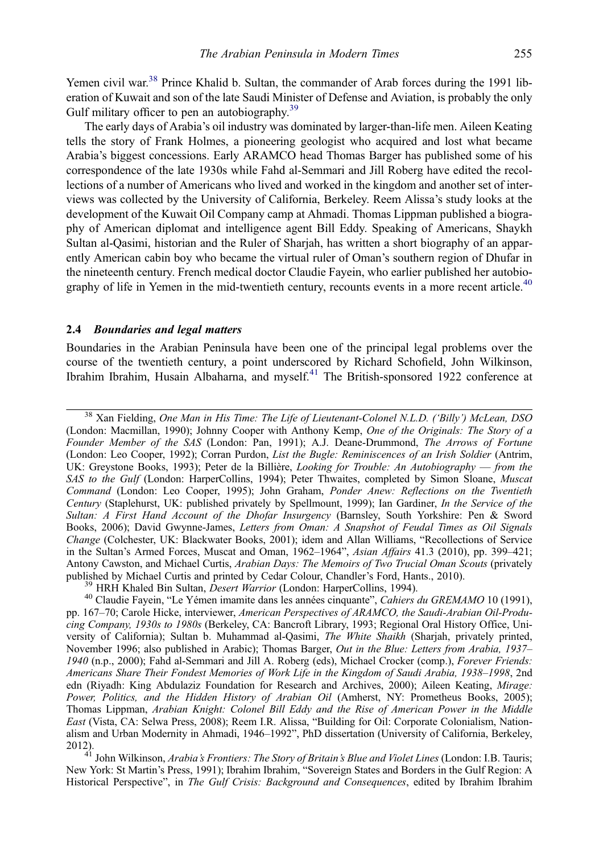Yemen civil war.<sup>38</sup> Prince Khalid b. Sultan, the commander of Arab forces during the 1991 liberation of Kuwait and son of the late Saudi Minister of Defense and Aviation, is probably the only Gulf military officer to pen an autobiography.<sup>39</sup>

The early days of Arabia's oil industry was dominated by larger-than-life men. Aileen Keating tells the story of Frank Holmes, a pioneering geologist who acquired and lost what became Arabia's biggest concessions. Early ARAMCO head Thomas Barger has published some of his correspondence of the late 1930s while Fahd al-Semmari and Jill Roberg have edited the recollections of a number of Americans who lived and worked in the kingdom and another set of interviews was collected by the University of California, Berkeley. Reem Alissa's study looks at the development of the Kuwait Oil Company camp at Ahmadi. Thomas Lippman published a biography of American diplomat and intelligence agent Bill Eddy. Speaking of Americans, Shaykh Sultan al-Qasimi, historian and the Ruler of Sharjah, has written a short biography of an apparently American cabin boy who became the virtual ruler of Oman's southern region of Dhufar in the nineteenth century. French medical doctor Claudie Fayein, who earlier published her autobiography of life in Yemen in the mid-twentieth century, recounts events in a more recent article.<sup>40</sup>

## 2.4 Boundaries and legal matters

Boundaries in the Arabian Peninsula have been one of the principal legal problems over the course of the twentieth century, a point underscored by Richard Schofield, John Wilkinson, Ibrahim Ibrahim, Husain Albaharna, and myself.<sup>41</sup> The British-sponsored 1922 conference at

 $38$  Xan Fielding, One Man in His Time: The Life of Lieutenant-Colonel N.L.D. ('Billy') McLean, DSO (London: Macmillan, 1990); Johnny Cooper with Anthony Kemp, One of the Originals: The Story of a Founder Member of the SAS (London: Pan, 1991); A.J. Deane-Drummond, The Arrows of Fortune (London: Leo Cooper, 1992); Corran Purdon, List the Bugle: Reminiscences of an Irish Soldier (Antrim, UK: Greystone Books, 1993); Peter de la Billière, Looking for Trouble: An Autobiography — from the SAS to the Gulf (London: HarperCollins, 1994); Peter Thwaites, completed by Simon Sloane, Muscat Command (London: Leo Cooper, 1995); John Graham, Ponder Anew: Reflections on the Twentieth Century (Staplehurst, UK: published privately by Spellmount, 1999); Ian Gardiner, In the Service of the Sultan: A First Hand Account of the Dhofar Insurgency (Barnsley, South Yorkshire: Pen & Sword Books, 2006); David Gwynne-James, Letters from Oman: A Snapshot of Feudal Times as Oil Signals Change (Colchester, UK: Blackwater Books, 2001); idem and Allan Williams, "Recollections of Service in the Sultan's Armed Forces, Muscat and Oman, 1962–1964", Asian Affairs 41.3 (2010), pp. 399–421; Antony Cawston, and Michael Curtis, Arabian Days: The Memoirs of Two Trucial Oman Scouts (privately published by Michael Curtis and printed by Cedar Colour, Chandler's Ford, Hants., 2010).<br><sup>39</sup> HRH Khaled Bin Sultan, *Desert Warrior* (London: HarperCollins, 1994).<br><sup>40</sup> Claudie Favein, "Le Yémen imamite dans les années ci

pp. 167–70; Carole Hicke, interviewer, American Perspectives of ARAMCO, the Saudi-Arabian Oil-Producing Company, 1930s to 1980s (Berkeley, CA: Bancroft Library, 1993; Regional Oral History Office, University of California); Sultan b. Muhammad al-Qasimi, The White Shaikh (Sharjah, privately printed, November 1996; also published in Arabic); Thomas Barger, Out in the Blue: Letters from Arabia, 1937– 1940 (n.p., 2000); Fahd al-Semmari and Jill A. Roberg (eds), Michael Crocker (comp.), Forever Friends: Americans Share Their Fondest Memories of Work Life in the Kingdom of Saudi Arabia, 1938–1998, 2nd edn (Riyadh: King Abdulaziz Foundation for Research and Archives, 2000); Aileen Keating, Mirage: Power, Politics, and the Hidden History of Arabian Oil (Amherst, NY: Prometheus Books, 2005); Thomas Lippman, Arabian Knight: Colonel Bill Eddy and the Rise of American Power in the Middle East (Vista, CA: Selwa Press, 2008); Reem I.R. Alissa, "Building for Oil: Corporate Colonialism, Nationalism and Urban Modernity in Ahmadi, 1946–1992", PhD dissertation (University of California, Berkeley,

2012).<br><sup>41</sup> John Wilkinson, *Arabia's Frontiers: The Story of Britain's Blue and Violet Lines* (London: I.B. Tauris; New York: St Martin's Press, 1991); Ibrahim Ibrahim, "Sovereign States and Borders in the Gulf Region: A Historical Perspective", in The Gulf Crisis: Background and Consequences, edited by Ibrahim Ibrahim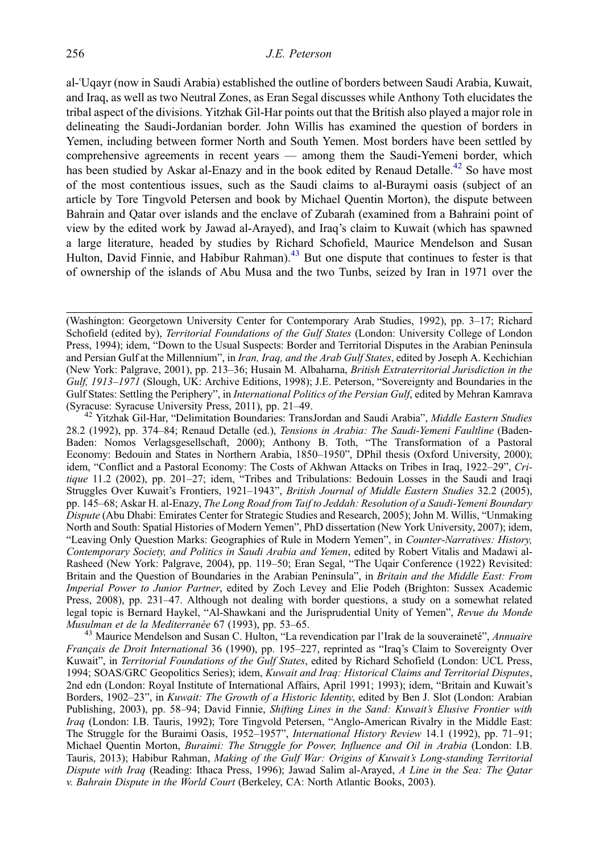al-ʿUqayr (now in Saudi Arabia) established the outline of borders between Saudi Arabia, Kuwait, and Iraq, as well as two Neutral Zones, as Eran Segal discusses while Anthony Toth elucidates the tribal aspect of the divisions. Yitzhak Gil-Har points out that the British also played a major role in delineating the Saudi-Jordanian border. John Willis has examined the question of borders in Yemen, including between former North and South Yemen. Most borders have been settled by comprehensive agreements in recent years — among them the Saudi-Yemeni border, which has been studied by Askar al-Enazy and in the book edited by Renaud Detalle.<sup>42</sup> So have most of the most contentious issues, such as the Saudi claims to al-Buraymi oasis (subject of an article by Tore Tingvold Petersen and book by Michael Quentin Morton), the dispute between Bahrain and Qatar over islands and the enclave of Zubarah (examined from a Bahraini point of view by the edited work by Jawad al-Arayed), and Iraq's claim to Kuwait (which has spawned a large literature, headed by studies by Richard Schofield, Maurice Mendelson and Susan Hulton, David Finnie, and Habibur Rahman). $43$  But one dispute that continues to fester is that of ownership of the islands of Abu Musa and the two Tunbs, seized by Iran in 1971 over the

<sup>42</sup> Yitzhak Gil-Har, "Delimitation Boundaries: TransJordan and Saudi Arabia", Middle Eastern Studies 28.2 (1992), pp. 374–84; Renaud Detalle (ed.), Tensions in Arabia: The Saudi-Yemeni Faultline (Baden-Baden: Nomos Verlagsgesellschaft, 2000); Anthony B. Toth, "The Transformation of a Pastoral Economy: Bedouin and States in Northern Arabia, 1850–1950", DPhil thesis (Oxford University, 2000); idem, "Conflict and a Pastoral Economy: The Costs of Akhwan Attacks on Tribes in Iraq, 1922–29", Critique 11.2 (2002), pp. 201-27; idem, "Tribes and Tribulations: Bedouin Losses in the Saudi and Iraqi Struggles Over Kuwait's Frontiers, 1921–1943", British Journal of Middle Eastern Studies 32.2 (2005), pp. 145–68; Askar H. al-Enazy, The Long Road from Taif to Jeddah: Resolution of a Saudi-Yemeni Boundary Dispute (Abu Dhabi: Emirates Center for Strategic Studies and Research, 2005); John M. Willis, "Unmaking North and South: Spatial Histories of Modern Yemen", PhD dissertation (New York University, 2007); idem, "Leaving Only Question Marks: Geographies of Rule in Modern Yemen", in Counter-Narratives: History, Contemporary Society, and Politics in Saudi Arabia and Yemen, edited by Robert Vitalis and Madawi al-Rasheed (New York: Palgrave, 2004), pp. 119–50; Eran Segal, "The Uqair Conference (1922) Revisited: Britain and the Question of Boundaries in the Arabian Peninsula", in Britain and the Middle East: From Imperial Power to Junior Partner, edited by Zoch Levey and Elie Podeh (Brighton: Sussex Academic Press, 2008), pp. 231–47. Although not dealing with border questions, a study on a somewhat related legal topic is Bernard Haykel, "Al-Shawkani and the Jurisprudential Unity of Yemen", Revue du Monde Musulman et de la Mediterranée 67 (1993), pp. 53–65.

<sup>43</sup> Maurice Mendelson and Susan C. Hulton, "La revendication par l'Irak de la souveraineté", Annuaire Français de Droit International 36 (1990), pp. 195–227, reprinted as "Iraq's Claim to Sovereignty Over Kuwait", in Territorial Foundations of the Gulf States, edited by Richard Schofield (London: UCL Press, 1994; SOAS/GRC Geopolitics Series); idem, Kuwait and Iraq: Historical Claims and Territorial Disputes, 2nd edn (London: Royal Institute of International Affairs, April 1991; 1993); idem, "Britain and Kuwait's Borders, 1902–23", in Kuwait: The Growth of a Historic Identity, edited by Ben J. Slot (London: Arabian Publishing, 2003), pp. 58-94; David Finnie, Shifting Lines in the Sand: Kuwait's Elusive Frontier with Iraq (London: I.B. Tauris, 1992); Tore Tingvold Petersen, "Anglo-American Rivalry in the Middle East: The Struggle for the Buraimi Oasis, 1952–1957", International History Review 14.1 (1992), pp. 71–91; Michael Quentin Morton, Buraimi: The Struggle for Power, Influence and Oil in Arabia (London: I.B. Tauris, 2013); Habibur Rahman, Making of the Gulf War: Origins of Kuwait's Long-standing Territorial Dispute with Iraq (Reading: Ithaca Press, 1996); Jawad Salim al-Arayed, A Line in the Sea: The Oatar v. Bahrain Dispute in the World Court (Berkeley, CA: North Atlantic Books, 2003).

<sup>(</sup>Washington: Georgetown University Center for Contemporary Arab Studies, 1992), pp. 3–17; Richard Schofield (edited by), Territorial Foundations of the Gulf States (London: University College of London Press, 1994); idem, "Down to the Usual Suspects: Border and Territorial Disputes in the Arabian Peninsula and Persian Gulf at the Millennium", in Iran, Iraq, and the Arab Gulf States, edited by Joseph A. Kechichian (New York: Palgrave, 2001), pp. 213–36; Husain M. Albaharna, British Extraterritorial Jurisdiction in the Gulf, 1913–1971 (Slough, UK: Archive Editions, 1998); J.E. Peterson, "Sovereignty and Boundaries in the Gulf States: Settling the Periphery", in *International Politics of the Persian Gulf*, edited by Mehran Kamrava (Syracuse: Syracuse University Press, 2011), pp. 21–49.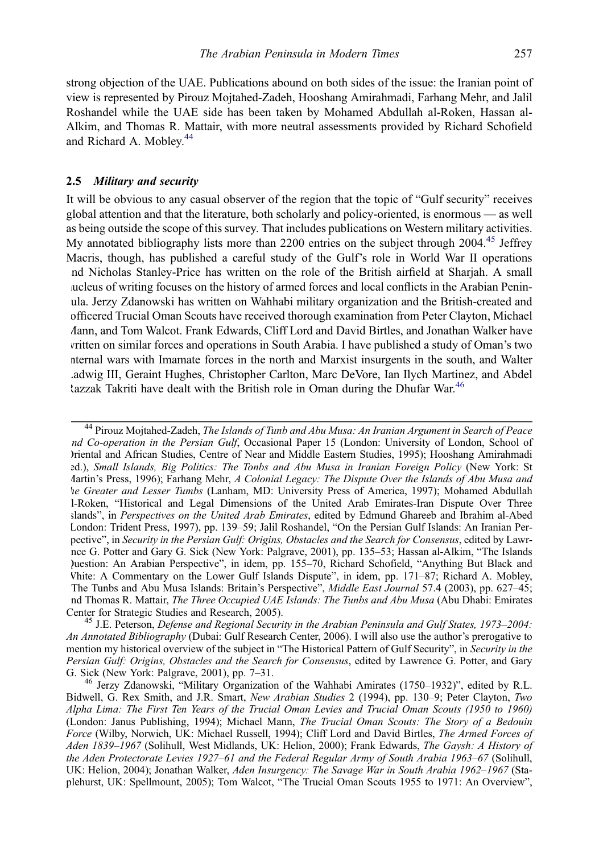strong objection of the UAE. Publications abound on both sides of the issue: the Iranian point of view is represented by Pirouz Mojtahed-Zadeh, Hooshang Amirahmadi, Farhang Mehr, and Jalil Roshandel while the UAE side has been taken by Mohamed Abdullah al-Roken, Hassan al-Alkim, and Thomas R. Mattair, with more neutral assessments provided by Richard Schofield and Richard A. Mobley.<sup>44</sup>

#### 2.5 Military and security

It will be obvious to any casual observer of the region that the topic of "Gulf security" receives global attention and that the literature, both scholarly and policy-oriented, is enormous — as well as being outside the scope of this survey. That includes publications on Western military activities. My annotated bibliography lists more than 2200 entries on the subject through 2004.<sup>45</sup> Jeffrey Macris, though, has published a careful study of the Gulf's role in World War II operations and Nicholas Stanley-Price has written on the role of the British airfield at Sharjah. A small nucleus of writing focuses on the history of armed forces and local conflicts in the Arabian Peninsula. Jerzy Zdanowski has written on Wahhabi military organization and the British-created and officered Trucial Oman Scouts have received thorough examination from Peter Clayton, Michael Mann, and Tom Walcot. Frank Edwards, Cliff Lord and David Birtles, and Jonathan Walker have written on similar forces and operations in South Arabia. I have published a study of Oman's two internal wars with Imamate forces in the north and Marxist insurgents in the south, and Walter Ladwig III, Geraint Hughes, Christopher Carlton, Marc DeVore, Ian Ilych Martinez, and Abdel  $k$ azzak Takriti have dealt with the British role in Oman during the Dhufar War.<sup>46</sup>

<sup>44</sup> Pirouz Mojtahed-Zadeh, The Islands of Tunb and Abu Musa: An Iranian Argument in Search of Peace nd Co-operation in the Persian Gulf, Occasional Paper 15 (London: University of London, School of Oriental and African Studies, Centre of Near and Middle Eastern Studies, 1995); Hooshang Amirahmadi ed.), Small Islands, Big Politics: The Tonbs and Abu Musa in Iranian Foreign Policy (New York: St Martin's Press, 1996); Farhang Mehr, A Colonial Legacy: The Dispute Over the Islands of Abu Musa and he Greater and Lesser Tumbs (Lanham, MD: University Press of America, 1997); Mohamed Abdullah al-Roken, "Historical and Legal Dimensions of the United Arab Emirates-Iran Dispute Over Three slands", in Perspectives on the United Arab Emirates, edited by Edmund Ghareeb and Ibrahim al-Abed London: Trident Press, 1997), pp. 139-59; Jalil Roshandel, "On the Persian Gulf Islands: An Iranian Perpective", in Security in the Persian Gulf: Origins, Obstacles and the Search for Consensus, edited by Lawrnce G. Potter and Gary G. Sick (New York: Palgrave, 2001), pp. 135–53; Hassan al-Alkim, "The Islands Question: An Arabian Perspective", in idem, pp. 155–70, Richard Schofield, "Anything But Black and White: A Commentary on the Lower Gulf Islands Dispute", in idem, pp. 171–87; Richard A. Mobley, The Tunbs and Abu Musa Islands: Britain's Perspective", Middle East Journal 57.4 (2003), pp. 627-45; nd Thomas R. Mattair, *The Three Occupied UAE Islands: The Tunbs and Abu Musa* (Abu Dhabi: Emirates Center for Strategic Studies and Research, 2005).

 $^{45}$  J.E. Peterson, Defense and Regional Security in the Arabian Peninsula and Gulf States, 1973–2004: An Annotated Bibliography (Dubai: Gulf Research Center, 2006). I will also use the author's prerogative to mention my historical overview of the subject in "The Historical Pattern of Gulf Security", in Security in the Persian Gulf: Origins, Obstacles and the Search for Consensus, edited by Lawrence G. Potter, and Gary G. Sick (New York: Palgrave, 2001), pp. 7–31.<br><sup>46</sup> Jerzy Zdanowski, "Military Organization of the Wahhabi Amirates (1750–1932)", edited by R.L.

Bidwell, G. Rex Smith, and J.R. Smart, New Arabian Studies 2 (1994), pp. 130–9; Peter Clayton, Two Alpha Lima: The First Ten Years of the Trucial Oman Levies and Trucial Oman Scouts (1950 to 1960) (London: Janus Publishing, 1994); Michael Mann, The Trucial Oman Scouts: The Story of a Bedouin Force (Wilby, Norwich, UK: Michael Russell, 1994); Cliff Lord and David Birtles, The Armed Forces of Aden 1839–1967 (Solihull, West Midlands, UK: Helion, 2000); Frank Edwards, The Gaysh: A History of the Aden Protectorate Levies 1927–61 and the Federal Regular Army of South Arabia 1963–67 (Solihull, UK: Helion, 2004); Jonathan Walker, Aden Insurgency: The Savage War in South Arabia 1962–1967 (Staplehurst, UK: Spellmount, 2005); Tom Walcot, "The Trucial Oman Scouts 1955 to 1971: An Overview",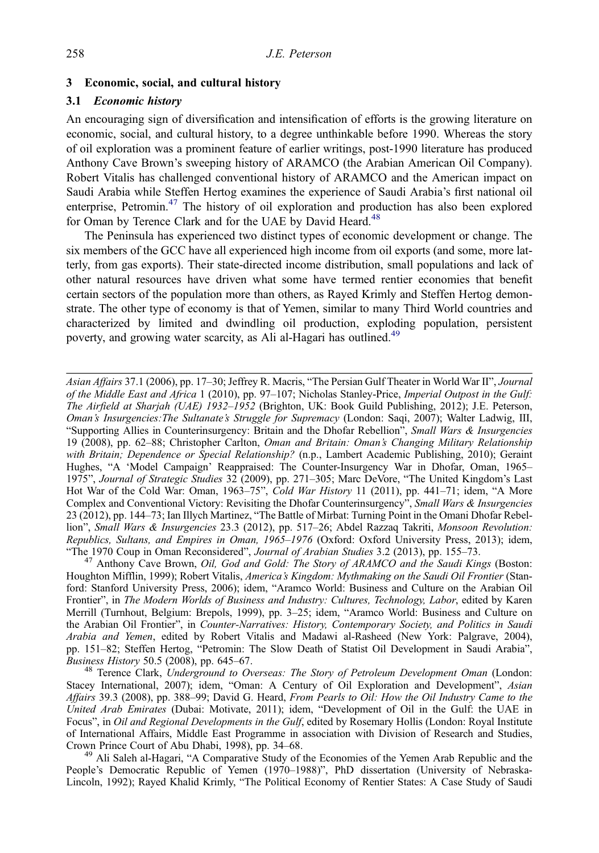## 3 Economic, social, and cultural history

#### 3.1 Economic history

An encouraging sign of diversification and intensification of efforts is the growing literature on economic, social, and cultural history, to a degree unthinkable before 1990. Whereas the story of oil exploration was a prominent feature of earlier writings, post-1990 literature has produced Anthony Cave Brown's sweeping history of ARAMCO (the Arabian American Oil Company). Robert Vitalis has challenged conventional history of ARAMCO and the American impact on Saudi Arabia while Steffen Hertog examines the experience of Saudi Arabia's first national oil enterprise, Petromin.<sup>47</sup> The history of oil exploration and production has also been explored for Oman by Terence Clark and for the UAE by David Heard.<sup>48</sup>

The Peninsula has experienced two distinct types of economic development or change. The six members of the GCC have all experienced high income from oil exports (and some, more latterly, from gas exports). Their state-directed income distribution, small populations and lack of other natural resources have driven what some have termed rentier economies that benefit certain sectors of the population more than others, as Rayed Krimly and Steffen Hertog demonstrate. The other type of economy is that of Yemen, similar to many Third World countries and characterized by limited and dwindling oil production, exploding population, persistent poverty, and growing water scarcity, as Ali al-Hagari has outlined.<sup>49</sup>

Asian Affairs 37.1 (2006), pp. 17–30; Jeffrey R. Macris, "The Persian Gulf Theater in World War II", Journal of the Middle East and Africa 1 (2010), pp. 97–107; Nicholas Stanley-Price, Imperial Outpost in the Gulf: The Airfield at Sharjah (UAE) 1932–1952 (Brighton, UK: Book Guild Publishing, 2012); J.E. Peterson, Oman's Insurgencies:The Sultanate's Struggle for Supremacy (London: Saqi, 2007); Walter Ladwig, III, "Supporting Allies in Counterinsurgency: Britain and the Dhofar Rebellion", Small Wars & Insurgencies 19 (2008), pp. 62–88; Christopher Carlton, Oman and Britain: Oman's Changing Military Relationship with Britain; Dependence or Special Relationship? (n.p., Lambert Academic Publishing, 2010); Geraint Hughes, "A 'Model Campaign' Reappraised: The Counter-Insurgency War in Dhofar, Oman, 1965– 1975", Journal of Strategic Studies 32 (2009), pp. 271–305; Marc DeVore, "The United Kingdom's Last Hot War of the Cold War: Oman, 1963–75", Cold War History 11 (2011), pp. 441–71; idem, "A More Complex and Conventional Victory: Revisiting the Dhofar Counterinsurgency", Small Wars & Insurgencies 23 (2012), pp. 144–73; Ian Illych Martinez, "The Battle of Mirbat: Turning Point in the Omani Dhofar Rebellion", Small Wars & Insurgencies 23.3 (2012), pp. 517-26; Abdel Razzaq Takriti, Monsoon Revolution: Republics, Sultans, and Empires in Oman, 1965–1976 (Oxford: Oxford University Press, 2013); idem, "The 1970 Coup in Oman Reconsidered", Journal of Arabian Studies 3.2 (2013), pp. 155–73.

 $^{47}$  Anthony Cave Brown, Oil, God and Gold: The Story of ARAMCO and the Saudi Kings (Boston: Houghton Mifflin, 1999); Robert Vitalis, America's Kingdom: Mythmaking on the Saudi Oil Frontier (Stanford: Stanford University Press, 2006); idem, "Aramco World: Business and Culture on the Arabian Oil Frontier", in The Modern Worlds of Business and Industry: Cultures, Technology, Labor, edited by Karen Merrill (Turnhout, Belgium: Brepols, 1999), pp. 3–25; idem, "Aramco World: Business and Culture on the Arabian Oil Frontier", in Counter-Narratives: History, Contemporary Society, and Politics in Saudi Arabia and Yemen, edited by Robert Vitalis and Madawi al-Rasheed (New York: Palgrave, 2004), pp. 151–82; Steffen Hertog, "Petromin: The Slow Death of Statist Oil Development in Saudi Arabia", Business History 50.5 (2008), pp. 645–67.

<sup>48</sup> Terence Clark, Underground to Overseas: The Story of Petroleum Development Oman (London: Stacey International, 2007); idem, "Oman: A Century of Oil Exploration and Development", Asian Affairs 39.3 (2008), pp. 388–99; David G. Heard, From Pearls to Oil: How the Oil Industry Came to the United Arab Emirates (Dubai: Motivate, 2011); idem, "Development of Oil in the Gulf: the UAE in Focus", in Oil and Regional Developments in the Gulf, edited by Rosemary Hollis (London: Royal Institute of International Affairs, Middle East Programme in association with Division of Research and Studies, Crown Prince Court of Abu Dhabi, 1998), pp. 34–68.

<sup>49</sup> Ali Saleh al-Hagari, "A Comparative Study of the Economies of the Yemen Arab Republic and the People's Democratic Republic of Yemen (1970–1988)", PhD dissertation (University of Nebraska-Lincoln, 1992); Rayed Khalid Krimly, "The Political Economy of Rentier States: A Case Study of Saudi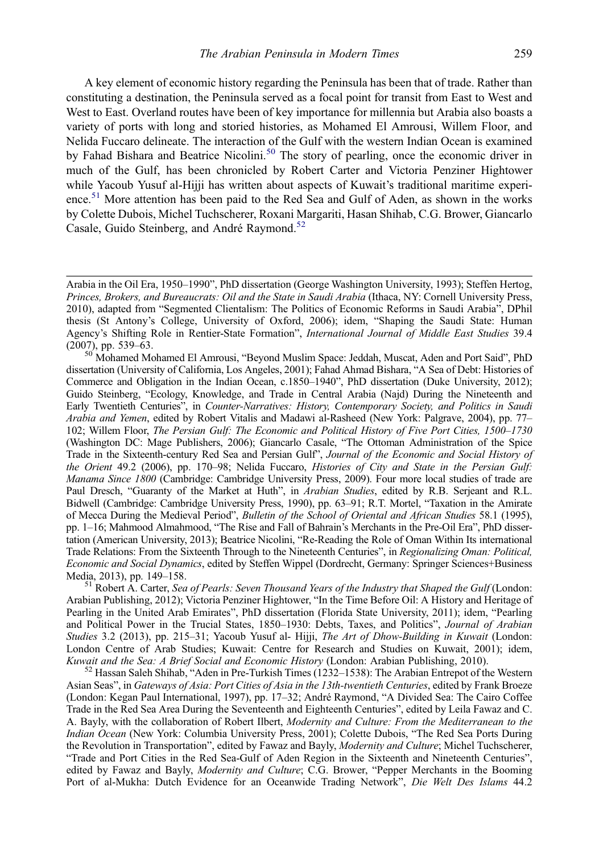A key element of economic history regarding the Peninsula has been that of trade. Rather than constituting a destination, the Peninsula served as a focal point for transit from East to West and West to East. Overland routes have been of key importance for millennia but Arabia also boasts a variety of ports with long and storied histories, as Mohamed El Amrousi, Willem Floor, and Nelida Fuccaro delineate. The interaction of the Gulf with the western Indian Ocean is examined by Fahad Bishara and Beatrice Nicolini.<sup>50</sup> The story of pearling, once the economic driver in much of the Gulf, has been chronicled by Robert Carter and Victoria Penziner Hightower while Yacoub Yusuf al-Hijji has written about aspects of Kuwait's traditional maritime experience.<sup>51</sup> More attention has been paid to the Red Sea and Gulf of Aden, as shown in the works by Colette Dubois, Michel Tuchscherer, Roxani Margariti, Hasan Shihab, C.G. Brower, Giancarlo Casale, Guido Steinberg, and André Raymond.<sup>52</sup>

 $^{51}$  Robert A. Carter, Sea of Pearls: Seven Thousand Years of the Industry that Shaped the Gulf (London: Arabian Publishing, 2012); Victoria Penziner Hightower, "In the Time Before Oil: A History and Heritage of Pearling in the United Arab Emirates", PhD dissertation (Florida State University, 2011); idem, "Pearling and Political Power in the Trucial States, 1850–1930: Debts, Taxes, and Politics", Journal of Arabian Studies 3.2 (2013), pp. 215–31; Yacoub Yusuf al- Hijji, The Art of Dhow-Building in Kuwait (London: London Centre of Arab Studies; Kuwait: Centre for Research and Studies on Kuwait, 2001); idem, Kuwait and the Sea: A Brief Social and Economic History (London: Arabian Publishing, 2010). <sup>52</sup> Hassan Saleh Shihab, "Aden in Pre-Turkish Times (1232–1538): The Arabian Entrepot of the Western

Asian Seas", in Gateways of Asia: Port Cities of Asia in the 13th-twentieth Centuries, edited by Frank Broeze (London: Kegan Paul International, 1997), pp. 17–32; André Raymond, "A Divided Sea: The Cairo Coffee Trade in the Red Sea Area During the Seventeenth and Eighteenth Centuries", edited by Leila Fawaz and C. A. Bayly, with the collaboration of Robert Ilbert, Modernity and Culture: From the Mediterranean to the Indian Ocean (New York: Columbia University Press, 2001); Colette Dubois, "The Red Sea Ports During the Revolution in Transportation", edited by Fawaz and Bayly, Modernity and Culture; Michel Tuchscherer, "Trade and Port Cities in the Red Sea-Gulf of Aden Region in the Sixteenth and Nineteenth Centuries", edited by Fawaz and Bayly, Modernity and Culture; C.G. Brower, "Pepper Merchants in the Booming Port of al-Mukha: Dutch Evidence for an Oceanwide Trading Network", Die Welt Des Islams 44.2

Arabia in the Oil Era, 1950–1990", PhD dissertation (George Washington University, 1993); Steffen Hertog, Princes, Brokers, and Bureaucrats: Oil and the State in Saudi Arabia (Ithaca, NY: Cornell University Press, 2010), adapted from "Segmented Clientalism: The Politics of Economic Reforms in Saudi Arabia", DPhil thesis (St Antony's College, University of Oxford, 2006); idem, "Shaping the Saudi State: Human Agency's Shifting Role in Rentier-State Formation", *International Journal of Middle East Studies* 39.4 (2007), pp. 539–63.

<sup>&</sup>lt;sup>50</sup> Mohamed Mohamed El Amrousi, "Beyond Muslim Space: Jeddah, Muscat, Aden and Port Said", PhD dissertation (University of California, Los Angeles, 2001); Fahad Ahmad Bishara, "A Sea of Debt: Histories of Commerce and Obligation in the Indian Ocean, c.1850–1940", PhD dissertation (Duke University, 2012); Guido Steinberg, "Ecology, Knowledge, and Trade in Central Arabia (Najd) During the Nineteenth and Early Twentieth Centuries", in Counter-Narratives: History, Contemporary Society, and Politics in Saudi Arabia and Yemen, edited by Robert Vitalis and Madawi al-Rasheed (New York: Palgrave, 2004), pp. 77– 102; Willem Floor, The Persian Gulf: The Economic and Political History of Five Port Cities, 1500–1730 (Washington DC: Mage Publishers, 2006); Giancarlo Casale, "The Ottoman Administration of the Spice Trade in the Sixteenth-century Red Sea and Persian Gulf', Journal of the Economic and Social History of the Orient 49.2 (2006), pp. 170–98; Nelida Fuccaro, Histories of City and State in the Persian Gulf: Manama Since 1800 (Cambridge: Cambridge University Press, 2009). Four more local studies of trade are Paul Dresch, "Guaranty of the Market at Huth", in Arabian Studies, edited by R.B. Serjeant and R.L. Bidwell (Cambridge: Cambridge University Press, 1990), pp. 63–91; R.T. Mortel, "Taxation in the Amirate of Mecca During the Medieval Period", Bulletin of the School of Oriental and African Studies 58.1 (1995), pp. 1–16; Mahmood Almahmood, "The Rise and Fall of Bahrain's Merchants in the Pre-Oil Era", PhD dissertation (American University, 2013); Beatrice Nicolini, "Re-Reading the Role of Oman Within Its international Trade Relations: From the Sixteenth Through to the Nineteenth Centuries", in Regionalizing Oman: Political, Economic and Social Dynamics, edited by Steffen Wippel (Dordrecht, Germany: Springer Sciences+Business Media, 2013), pp. 149–158.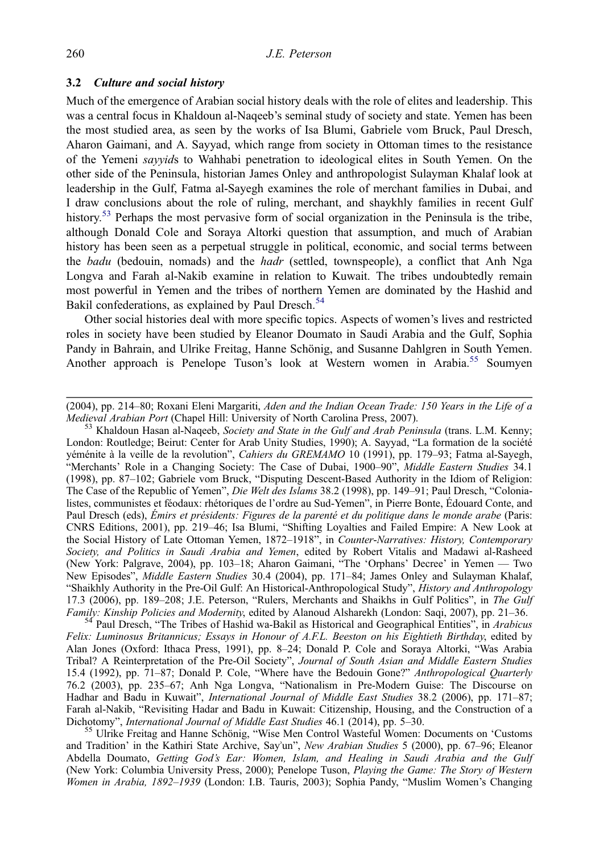#### 3.2 Culture and social history

Much of the emergence of Arabian social history deals with the role of elites and leadership. This was a central focus in Khaldoun al-Naqeeb's seminal study of society and state. Yemen has been the most studied area, as seen by the works of Isa Blumi, Gabriele vom Bruck, Paul Dresch, Aharon Gaimani, and A. Sayyad, which range from society in Ottoman times to the resistance of the Yemeni sayyids to Wahhabi penetration to ideological elites in South Yemen. On the other side of the Peninsula, historian James Onley and anthropologist Sulayman Khalaf look at leadership in the Gulf, Fatma al-Sayegh examines the role of merchant families in Dubai, and I draw conclusions about the role of ruling, merchant, and shaykhly families in recent Gulf history.<sup>53</sup> Perhaps the most pervasive form of social organization in the Peninsula is the tribe, although Donald Cole and Soraya Altorki question that assumption, and much of Arabian history has been seen as a perpetual struggle in political, economic, and social terms between the badu (bedouin, nomads) and the hadr (settled, townspeople), a conflict that Anh Nga Longva and Farah al-Nakib examine in relation to Kuwait. The tribes undoubtedly remain most powerful in Yemen and the tribes of northern Yemen are dominated by the Hashid and Bakil confederations, as explained by Paul Dresch.<sup>54</sup>

Other social histories deal with more specific topics. Aspects of women's lives and restricted roles in society have been studied by Eleanor Doumato in Saudi Arabia and the Gulf, Sophia Pandy in Bahrain, and Ulrike Freitag, Hanne Schönig, and Susanne Dahlgren in South Yemen. Another approach is Penelope Tuson's look at Western women in Arabia.<sup>55</sup> Soumven

 $^{53}$  Khaldoun Hasan al-Naqeeb, Society and State in the Gulf and Arab Peninsula (trans. L.M. Kenny; London: Routledge; Beirut: Center for Arab Unity Studies, 1990); A. Sayyad, "La formation de la société yéménite à la veille de la revolution", Cahiers du GREMAMO 10 (1991), pp. 179–93; Fatma al-Sayegh, "Merchants' Role in a Changing Society: The Case of Dubai, 1900–90", Middle Eastern Studies 34.1 (1998), pp. 87–102; Gabriele vom Bruck, "Disputing Descent-Based Authority in the Idiom of Religion: The Case of the Republic of Yemen", Die Welt des Islams 38.2 (1998), pp. 149–91; Paul Dresch, "Colonialistes, communistes et féodaux: rhétoriques de l'ordre au Sud-Yemen", in Pierre Bonte, Édouard Conte, and Paul Dresch (eds), Émirs et présidents: Figures de la parenté et du politique dans le monde arabe (Paris: CNRS Editions, 2001), pp. 219–46; Isa Blumi, "Shifting Loyalties and Failed Empire: A New Look at the Social History of Late Ottoman Yemen, 1872–1918", in Counter-Narratives: History, Contemporary Society, and Politics in Saudi Arabia and Yemen, edited by Robert Vitalis and Madawi al-Rasheed (New York: Palgrave, 2004), pp. 103–18; Aharon Gaimani, "The 'Orphans' Decree' in Yemen — Two New Episodes", Middle Eastern Studies 30.4 (2004), pp. 171–84; James Onley and Sulayman Khalaf, "Shaikhly Authority in the Pre-Oil Gulf: An Historical-Anthropological Study", History and Anthropology 17.3 (2006), pp. 189–208; J.E. Peterson, "Rulers, Merchants and Shaikhs in Gulf Politics", in The Gulf Family: Kinship Policies and Modernity, edited by Alanoud Alsharekh (London: Saqi, 2007), pp. 21–36.

<sup>54</sup> Paul Dresch, "The Tribes of Hashid wa-Bakil as Historical and Geographical Entities", in Arabicus Felix: Luminosus Britannicus; Essays in Honour of A.F.L. Beeston on his Eightieth Birthday, edited by Alan Jones (Oxford: Ithaca Press, 1991), pp. 8–24; Donald P. Cole and Soraya Altorki, "Was Arabia Tribal? A Reinterpretation of the Pre-Oil Society", Journal of South Asian and Middle Eastern Studies 15.4 (1992), pp. 71–87; Donald P. Cole, "Where have the Bedouin Gone?" Anthropological Quarterly 76.2 (2003), pp. 235–67; Anh Nga Longva, "Nationalism in Pre-Modern Guise: The Discourse on Hadhar and Badu in Kuwait", International Journal of Middle East Studies 38.2 (2006), pp. 171–87; Farah al-Nakib, "Revisiting Hadar and Badu in Kuwait: Citizenship, Housing, and the Construction of a Dichotomy". *International Journal of Middle East Studies* 46.1 (2014), pp. 5–30.

<sup>55</sup> Ulrike Freitag and Hanne Schönig, "Wise Men Control Wasteful Women: Documents on 'Customs and Tradition' in the Kathiri State Archive, Sayʾun", New Arabian Studies 5 (2000), pp. 67–96; Eleanor Abdella Doumato, Getting God's Ear: Women, Islam, and Healing in Saudi Arabia and the Gulf (New York: Columbia University Press, 2000); Penelope Tuson, Playing the Game: The Story of Western Women in Arabia, 1892–1939 (London: I.B. Tauris, 2003); Sophia Pandy, "Muslim Women's Changing

<sup>(2004),</sup> pp. 214–80; Roxani Eleni Margariti, Aden and the Indian Ocean Trade: 150 Years in the Life of a<br>Medieval Arabian Port (Chapel Hill: University of North Carolina Press, 2007).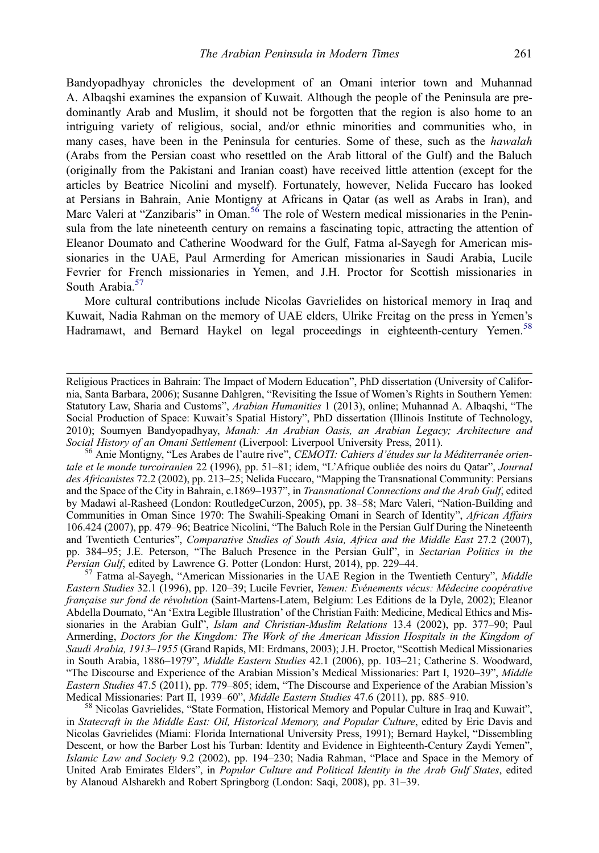Bandyopadhyay chronicles the development of an Omani interior town and Muhannad A. Albaqshi examines the expansion of Kuwait. Although the people of the Peninsula are predominantly Arab and Muslim, it should not be forgotten that the region is also home to an intriguing variety of religious, social, and/or ethnic minorities and communities who, in many cases, have been in the Peninsula for centuries. Some of these, such as the *hawalah* (Arabs from the Persian coast who resettled on the Arab littoral of the Gulf) and the Baluch (originally from the Pakistani and Iranian coast) have received little attention (except for the articles by Beatrice Nicolini and myself). Fortunately, however, Nelida Fuccaro has looked at Persians in Bahrain, Anie Montigny at Africans in Qatar (as well as Arabs in Iran), and Marc Valeri at "Zanzibaris" in Oman.<sup>56</sup> The role of Western medical missionaries in the Peninsula from the late nineteenth century on remains a fascinating topic, attracting the attention of Eleanor Doumato and Catherine Woodward for the Gulf, Fatma al-Sayegh for American missionaries in the UAE, Paul Armerding for American missionaries in Saudi Arabia, Lucile Fevrier for French missionaries in Yemen, and J.H. Proctor for Scottish missionaries in South Arabia.<sup>57</sup>

More cultural contributions include Nicolas Gavrielides on historical memory in Iraq and Kuwait, Nadia Rahman on the memory of UAE elders, Ulrike Freitag on the press in Yemen's Hadramawt, and Bernard Haykel on legal proceedings in eighteenth-century Yemen.<sup>58</sup>

<sup>56</sup> Anie Montigny, "Les Arabes de l'autre rive", CEMOTI: Cahiers d'études sur la Méditerranée orientale et le monde turcoiranien 22 (1996), pp. 51-81; idem, "L'Afrique oubliée des noirs du Qatar", Journal des Africanistes 72.2 (2002), pp. 213–25; Nelida Fuccaro, "Mapping the Transnational Community: Persians and the Space of the City in Bahrain, c.1869–1937", in Transnational Connections and the Arab Gulf, edited by Madawi al-Rasheed (London: RoutledgeCurzon, 2005), pp. 38–58; Marc Valeri, "Nation-Building and Communities in Oman Since 1970: The Swahili-Speaking Omani in Search of Identity", African Affairs 106.424 (2007), pp. 479–96; Beatrice Nicolini, "The Baluch Role in the Persian Gulf During the Nineteenth and Twentieth Centuries", Comparative Studies of South Asia, Africa and the Middle East 27.2 (2007), pp. 384–95; J.E. Peterson, "The Baluch Presence in the Persian Gulf", in Sectarian Politics in the Persian Gulf, edited by Lawrence G. Potter (London: Hurst, 2014), pp. 229–44.<br><sup>57</sup> Fatma al-Sayegh, "American Missionaries in the UAE Region in the Twentieth Century", *Middle* 

Eastern Studies 32.1 (1996), pp. 120–39; Lucile Fevrier, Yemen: Evénements vécus: Médecine coopérative française sur fond de révolution (Saint-Martens-Latem, Belgium: Les Editions de la Dyle, 2002); Eleanor Abdella Doumato, "An 'Extra Legible Illustration' of the Christian Faith: Medicine, Medical Ethics and Missionaries in the Arabian Gulf", Islam and Christian-Muslim Relations 13.4 (2002), pp. 377–90; Paul Armerding, Doctors for the Kingdom: The Work of the American Mission Hospitals in the Kingdom of Saudi Arabia, 1913–1955 (Grand Rapids, MI: Erdmans, 2003); J.H. Proctor, "Scottish Medical Missionaries in South Arabia, 1886–1979", Middle Eastern Studies 42.1 (2006), pp. 103–21; Catherine S. Woodward, "The Discourse and Experience of the Arabian Mission's Medical Missionaries: Part I, 1920–39", Middle Eastern Studies 47.5 (2011), pp. 779–805; idem, "The Discourse and Experience of the Arabian Mission's Medical Missionaries: Part II, 1939–60", *Middle Eastern Studies* 47.6 (2011), pp. 885–910.

<sup>58</sup> Nicolas Gavrielides, "State Formation, Historical Memory and Popular Culture in Iraq and Kuwait", in Statecraft in the Middle East: Oil, Historical Memory, and Popular Culture, edited by Eric Davis and Nicolas Gavrielides (Miami: Florida International University Press, 1991); Bernard Haykel, "Dissembling Descent, or how the Barber Lost his Turban: Identity and Evidence in Eighteenth-Century Zaydi Yemen", Islamic Law and Society 9.2 (2002), pp. 194–230; Nadia Rahman, "Place and Space in the Memory of United Arab Emirates Elders", in Popular Culture and Political Identity in the Arab Gulf States, edited by Alanoud Alsharekh and Robert Springborg (London: Saqi, 2008), pp. 31–39.

Religious Practices in Bahrain: The Impact of Modern Education", PhD dissertation (University of California, Santa Barbara, 2006); Susanne Dahlgren, "Revisiting the Issue of Women's Rights in Southern Yemen: Statutory Law, Sharia and Customs", Arabian Humanities 1 (2013), online; Muhannad A. Albaqshi, "The Social Production of Space: Kuwait's Spatial History", PhD dissertation (Illinois Institute of Technology, 2010); Soumyen Bandyopadhyay, Manah: An Arabian Oasis, an Arabian Legacy; Architecture and Social History of an Omani Settlement (Liverpool: Liverpool University Press, 2011).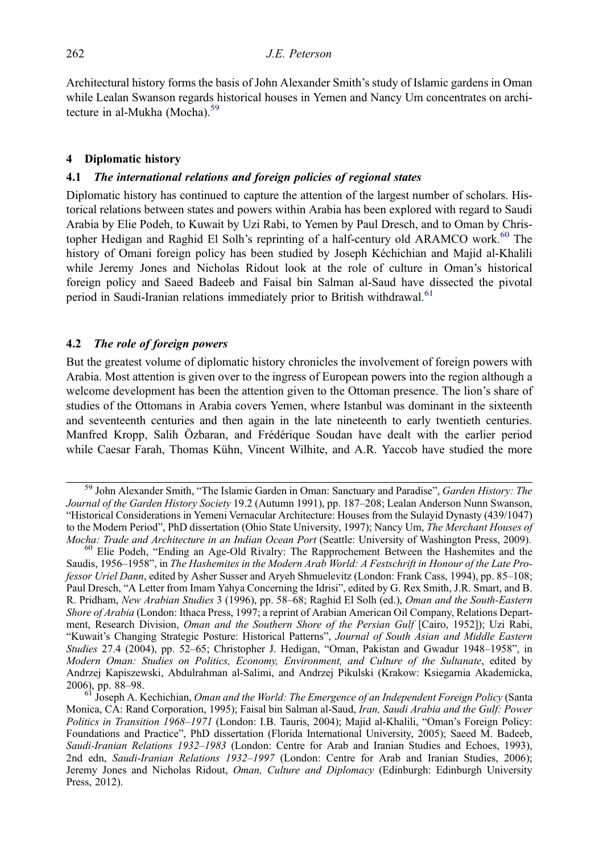Architectural history forms the basis of John Alexander Smith's study of Islamic gardens in Oman while Lealan Swanson regards historical houses in Yemen and Nancy Um concentrates on architecture in al-Mukha (Mocha). $59$ 

## 4 Diplomatic history

## 4.1 The international relations and foreign policies of regional states

Diplomatic history has continued to capture the attention of the largest number of scholars. Historical relations between states and powers within Arabia has been explored with regard to Saudi Arabia by Elie Podeh, to Kuwait by Uzi Rabi, to Yemen by Paul Dresch, and to Oman by Christopher Hedigan and Raghid El Solh's reprinting of a half-century old ARAMCO work.<sup>60</sup> The history of Omani foreign policy has been studied by Joseph Kéchichian and Majid al-Khalili while Jeremy Jones and Nicholas Ridout look at the role of culture in Oman's historical foreign policy and Saeed Badeeb and Faisal bin Salman al-Saud have dissected the pivotal period in Saudi-Iranian relations immediately prior to British withdrawal.<sup>61</sup>

## 4.2 The role of foreign powers

But the greatest volume of diplomatic history chronicles the involvement of foreign powers with Arabia. Most attention is given over to the ingress of European powers into the region although a welcome development has been the attention given to the Ottoman presence. The lion's share of studies of the Ottomans in Arabia covers Yemen, where Istanbul was dominant in the sixteenth and seventeenth centuries and then again in the late nineteenth to early twentieth centuries. Manfred Kropp, Salih Özbaran, and Frédérique Soudan have dealt with the earlier period while Caesar Farah, Thomas Kühn, Vincent Wilhite, and A.R. Yaccob have studied the more

<sup>&</sup>lt;sup>59</sup> John Alexander Smith, "The Islamic Garden in Oman: Sanctuary and Paradise", Garden History: The Journal of the Garden History Society 19.2 (Autumn 1991), pp. 187–208; Lealan Anderson Nunn Swanson, "Historical Considerations in Yemeni Vernacular Architecture: Houses from the Sulayid Dynasty (439/1047) to the Modern Period", PhD dissertation (Ohio State University, 1997); Nancy Um, The Merchant Houses of Mocha: Trade and Architecture in an Indian Ocean Port (Seattle: University of Washington Press, 2009).

<sup>&</sup>lt;sup>60</sup> Elie Podeh, "Ending an Age-Old Rivalry: The Rapprochement Between the Hashemites and the Saudis, 1956–1958", in The Hashemites in the Modern Arab World: A Festschrift in Honour of the Late Professor Uriel Dann, edited by Asher Susser and Aryeh Shmuelevitz (London: Frank Cass, 1994), pp. 85–108; Paul Dresch, "A Letter from Imam Yahya Concerning the Idrisi", edited by G. Rex Smith, J.R. Smart, and B. R. Pridham, New Arabian Studies 3 (1996), pp. 58–68; Raghid El Solh (ed.), Oman and the South-Eastern Shore of Arabia (London: Ithaca Press, 1997; a reprint of Arabian American Oil Company, Relations Department, Research Division, Oman and the Southern Shore of the Persian Gulf [Cairo, 1952]); Uzi Rabi, "Kuwait's Changing Strategic Posture: Historical Patterns", Journal of South Asian and Middle Eastern Studies 27.4 (2004), pp. 52–65; Christopher J. Hedigan, "Oman, Pakistan and Gwadur 1948–1958", in Modern Oman: Studies on Politics, Economy, Environment, and Culture of the Sultanate, edited by Andrzej Kapiszewski, Abdulrahman al-Salimi, and Andrzej Pikulski (Krakow: Ksiegarnia Akademicka, 2006), pp. 88–98.<br><sup>61</sup> Joseph A. Kechichian, *Oman and the World: The Emergence of an Independent Foreign Policy* (Santa

Monica, CA: Rand Corporation, 1995); Faisal bin Salman al-Saud, Iran, Saudi Arabia and the Gulf: Power Politics in Transition 1968–1971 (London: I.B. Tauris, 2004); Majid al-Khalili, "Oman's Foreign Policy: Foundations and Practice", PhD dissertation (Florida International University, 2005); Saeed M. Badeeb, Saudi-Iranian Relations 1932–1983 (London: Centre for Arab and Iranian Studies and Echoes, 1993), 2nd edn, Saudi-Iranian Relations 1932–1997 (London: Centre for Arab and Iranian Studies, 2006); Jeremy Jones and Nicholas Ridout, *Oman, Culture and Diplomacy* (Edinburgh: Edinburgh University Press, 2012).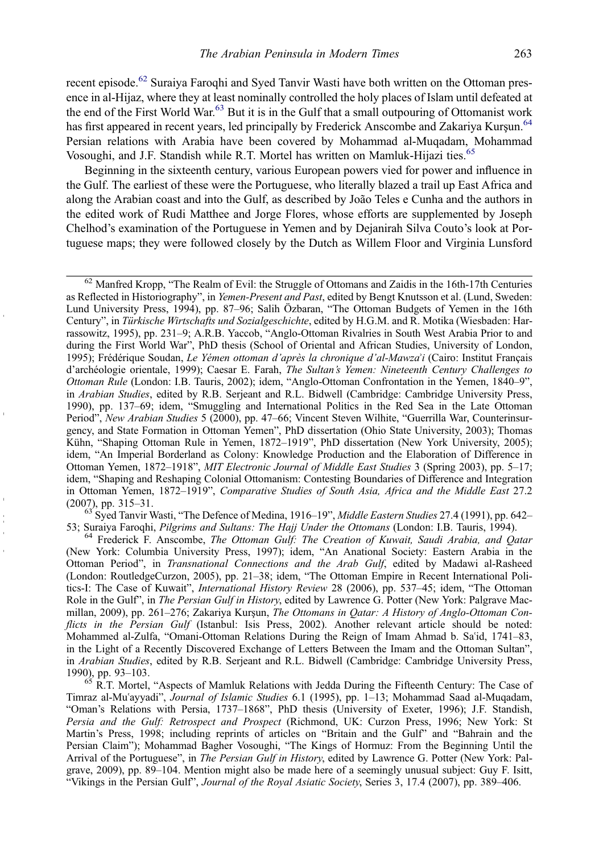recent episode.<sup>62</sup> Suraiya Faroqhi and Syed Tanvir Wasti have both written on the Ottoman presence in al-Hijaz, where they at least nominally controlled the holy places of Islam until defeated at the end of the First World War.<sup>63</sup> But it is in the Gulf that a small outpouring of Ottomanist work has first appeared in recent years, led principally by Frederick Anscombe and Zakariya Kurşun.<sup>64</sup> Persian relations with Arabia have been covered by Mohammad al-Muqadam, Mohammad Vosoughi, and J.F. Standish while R.T. Mortel has written on Mamluk-Hijazi ties.<sup>65</sup>

Beginning in the sixteenth century, various European powers vied for power and influence in the Gulf. The earliest of these were the Portuguese, who literally blazed a trail up East Africa and along the Arabian coast and into the Gulf, as described by João Teles e Cunha and the authors in the edited work of Rudi Matthee and Jorge Flores, whose efforts are supplemented by Joseph Chelhod's examination of the Portuguese in Yemen and by Dejanirah Silva Couto's look at Portuguese maps; they were followed closely by the Dutch as Willem Floor and Virginia Lunsford

<sup>62</sup> Manfred Kropp, "The Realm of Evil: the Struggle of Ottomans and Zaidis in the 16th-17th Centuries as Reflected in Historiography", in Yemen-Present and Past, edited by Bengt Knutsson et al. (Lund, Sweden: Lund University Press, 1994), pp. 87–96; Salih Özbaran, "The Ottoman Budgets of Yemen in the 16th Century", in Türkische Wirtschafts und Sozialgeschichte, edited by H.G.M. and R. Motika (Wiesbaden: Harrassowitz, 1995), pp. 231–9; A.R.B. Yaccob, "Anglo-Ottoman Rivalries in South West Arabia Prior to and during the First World War", PhD thesis (School of Oriental and African Studies, University of London, 1995); Frédérique Soudan, Le Yémen ottoman d'après la chronique d'al-Mawza'i (Cairo: Institut Français d'archéologie orientale, 1999); Caesar E. Farah, The Sultan's Yemen: Nineteenth Century Challenges to Ottoman Rule (London: I.B. Tauris, 2002); idem, "Anglo-Ottoman Confrontation in the Yemen, 1840–9", in Arabian Studies, edited by R.B. Serjeant and R.L. Bidwell (Cambridge: Cambridge University Press, 1990), pp. 137–69; idem, "Smuggling and International Politics in the Red Sea in the Late Ottoman Period", New Arabian Studies 5 (2000), pp. 47–66; Vincent Steven Wilhite, "Guerrilla War, Counterinsurgency, and State Formation in Ottoman Yemen", PhD dissertation (Ohio State University, 2003); Thomas Kühn, "Shaping Ottoman Rule in Yemen, 1872–1919", PhD dissertation (New York University, 2005); idem, "An Imperial Borderland as Colony: Knowledge Production and the Elaboration of Difference in Ottoman Yemen, 1872–1918", MIT Electronic Journal of Middle East Studies 3 (Spring 2003), pp. 5–17; idem, "Shaping and Reshaping Colonial Ottomanism: Contesting Boundaries of Difference and Integration in Ottoman Yemen, 1872–1919", Comparative Studies of South Asia, Africa and the Middle East 27.2

(2007), pp. 315–31.<br> $^{63}$  Syed Tanvir Wasti, "The Defence of Medina, 1916–19", *Middle Eastern Studies* 27.4 (1991), pp. 642–53; Suraiya Faroqhi, *Pilgrims and Sultans: The Hajj Under the Ottomans* (London: I.B. Tauris,

<sup>64</sup> Frederick F. Anscombe, The Ottoman Gulf: The Creation of Kuwait, Saudi Arabia, and Qatar (New York: Columbia University Press, 1997); idem, "An Anational Society: Eastern Arabia in the Ottoman Period", in Transnational Connections and the Arab Gulf, edited by Madawi al-Rasheed (London: RoutledgeCurzon, 2005), pp. 21–38; idem, "The Ottoman Empire in Recent International Politics-I: The Case of Kuwait", International History Review 28 (2006), pp. 537–45; idem, "The Ottoman Role in the Gulf", in *The Persian Gulf in History*, edited by Lawrence G. Potter (New York: Palgrave Macmillan, 2009), pp. 261–276; Zakariya Kurşun, The Ottomans in Qatar: A History of Anglo-Ottoman Conflicts in the Persian Gulf (Istanbul: Isis Press, 2002). Another relevant article should be noted: Mohammed al-Zulfa, "Omani-Ottoman Relations During the Reign of Imam Ahmad b. Saʿid, 1741–83, in the Light of a Recently Discovered Exchange of Letters Between the Imam and the Ottoman Sultan", in Arabian Studies, edited by R.B. Serjeant and R.L. Bidwell (Cambridge: Cambridge University Press, 1990), pp. 93–103.<br><sup>65</sup> R.T. Mortel, "Aspects of Mamluk Relations with Jedda During the Fifteenth Century: The Case of

Timraz al-Muʿayyadi", Journal of Islamic Studies 6.1 (1995), pp. 1–13; Mohammad Saad al-Muqadam, "Oman's Relations with Persia, 1737–1868", PhD thesis (University of Exeter, 1996); J.F. Standish, Persia and the Gulf: Retrospect and Prospect (Richmond, UK: Curzon Press, 1996; New York: St Martin's Press, 1998; including reprints of articles on "Britain and the Gulf" and "Bahrain and the Persian Claim"); Mohammad Bagher Vosoughi, "The Kings of Hormuz: From the Beginning Until the Arrival of the Portuguese", in The Persian Gulf in History, edited by Lawrence G. Potter (New York: Palgrave, 2009), pp. 89–104. Mention might also be made here of a seemingly unusual subject: Guy F. Isitt, "Vikings in the Persian Gulf", Journal of the Royal Asiatic Society, Series 3, 17.4 (2007), pp. 389-406.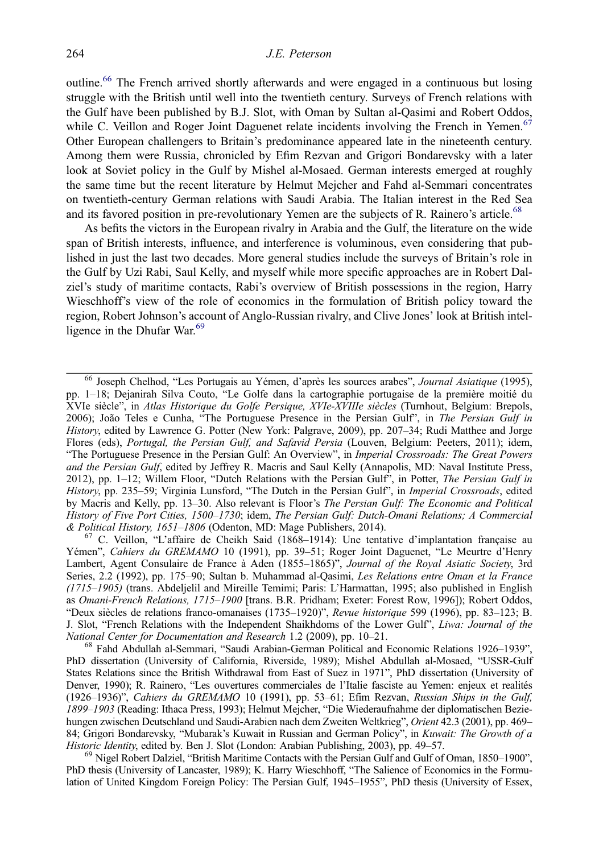outline.<sup>66</sup> The French arrived shortly afterwards and were engaged in a continuous but losing struggle with the British until well into the twentieth century. Surveys of French relations with the Gulf have been published by B.J. Slot, with Oman by Sultan al-Qasimi and Robert Oddos, while C. Veillon and Roger Joint Daguenet relate incidents involving the French in Yemen.<sup>67</sup> Other European challengers to Britain's predominance appeared late in the nineteenth century. Among them were Russia, chronicled by Efim Rezvan and Grigori Bondarevsky with a later look at Soviet policy in the Gulf by Mishel al-Mosaed. German interests emerged at roughly the same time but the recent literature by Helmut Mejcher and Fahd al-Semmari concentrates on twentieth-century German relations with Saudi Arabia. The Italian interest in the Red Sea and its favored position in pre-revolutionary Yemen are the subjects of R. Rainero's article.<sup>68</sup>

As befits the victors in the European rivalry in Arabia and the Gulf, the literature on the wide span of British interests, influence, and interference is voluminous, even considering that published in just the last two decades. More general studies include the surveys of Britain's role in the Gulf by Uzi Rabi, Saul Kelly, and myself while more specific approaches are in Robert Dalziel's study of maritime contacts, Rabi's overview of British possessions in the region, Harry Wieschhoff's view of the role of economics in the formulation of British policy toward the region, Robert Johnson's account of Anglo-Russian rivalry, and Clive Jones' look at British intelligence in the Dhufar War.<sup>69</sup>

<sup>66</sup> Joseph Chelhod, "Les Portugais au Yémen, d'après les sources arabes", Journal Asiatique (1995), pp. 1–18; Dejanirah Silva Couto, "Le Golfe dans la cartographie portugaise de la première moitié du XVIe siècle", in Atlas Historique du Golfe Persique, XVIe-XVIIIe siècles (Turnhout, Belgium: Brepols, 2006); João Teles e Cunha, "The Portuguese Presence in the Persian Gulf", in The Persian Gulf in History, edited by Lawrence G. Potter (New York: Palgrave, 2009), pp. 207–34; Rudi Matthee and Jorge Flores (eds), Portugal, the Persian Gulf, and Safavid Persia (Louven, Belgium: Peeters, 2011); idem, "The Portuguese Presence in the Persian Gulf: An Overview", in Imperial Crossroads: The Great Powers and the Persian Gulf, edited by Jeffrey R. Macris and Saul Kelly (Annapolis, MD: Naval Institute Press, 2012), pp. 1-12; Willem Floor, "Dutch Relations with the Persian Gulf", in Potter, The Persian Gulf in History, pp. 235–59; Virginia Lunsford, "The Dutch in the Persian Gulf", in Imperial Crossroads, edited by Macris and Kelly, pp. 13–30. Also relevant is Floor's The Persian Gulf: The Economic and Political History of Five Port Cities, 1500–1730; idem, The Persian Gulf: Dutch-Omani Relations; A Commercial & Political History, 1651–1806 (Odenton, MD: Mage Publishers, 2014).

 $^{67}$  C. Veillon, "L'affaire de Cheikh Said (1868–1914). Une tentative d'implantation française au Yémen", Cahiers du GREMAMO 10 (1991), pp. 39–51; Roger Joint Daguenet, "Le Meurtre d'Henry Lambert, Agent Consulaire de France à Aden (1855–1865)", Journal of the Royal Asiatic Society, 3rd Series, 2.2 (1992), pp. 175–90; Sultan b. Muhammad al-Qasimi, Les Relations entre Oman et la France (1715–1905) (trans. Abdeljelil and Mireille Temimi; Paris: L'Harmattan, 1995; also published in English as Omani-French Relations, 1715–1900 [trans. B.R. Pridham; Exeter: Forest Row, 1996]); Robert Oddos, "Deux siècles de relations franco-omanaises (1735–1920)", Revue historique 599 (1996), pp. 83–123; B. J. Slot, "French Relations with the Independent Shaikhdoms of the Lower Gulf", Liwa: Journal of the National Center for Documentation and Research 1.2 (2009), pp. 10–21.

<sup>&</sup>lt;sup>68</sup> Fahd Abdullah al-Semmari, "Saudi Arabian-German Political and Economic Relations 1926–1939", PhD dissertation (University of California, Riverside, 1989); Mishel Abdullah al-Mosaed, "USSR-Gulf States Relations since the British Withdrawal from East of Suez in 1971", PhD dissertation (University of Denver, 1990); R. Rainero, "Les ouvertures commerciales de l'Italie fasciste au Yemen: enjeux et realités (1926–1936)", Cahiers du GREMAMO 10 (1991), pp. 53-61; Efim Rezvan, Russian Ships in the Gulf, 1899–1903 (Reading: Ithaca Press, 1993); Helmut Mejcher, "Die Wiederaufnahme der diplomatischen Beziehungen zwischen Deutschland und Saudi-Arabien nach dem Zweiten Weltkrieg", Orient 42.3 (2001), pp. 469– 84; Grigori Bondarevsky, "Mubarak's Kuwait in Russian and German Policy", in *Kuwait: The Growth of a Historic Identity*, edited by. Ben J. Slot (London: Arabian Publishing, 2003), pp. 49–57.

 $^{69}$  Nigel Robert Dalziel, "British Maritime Contacts with the Persian Gulf and Gulf of Oman, 1850–1900", PhD thesis (University of Lancaster, 1989); K. Harry Wieschhoff, "The Salience of Economics in the Formulation of United Kingdom Foreign Policy: The Persian Gulf, 1945–1955", PhD thesis (University of Essex,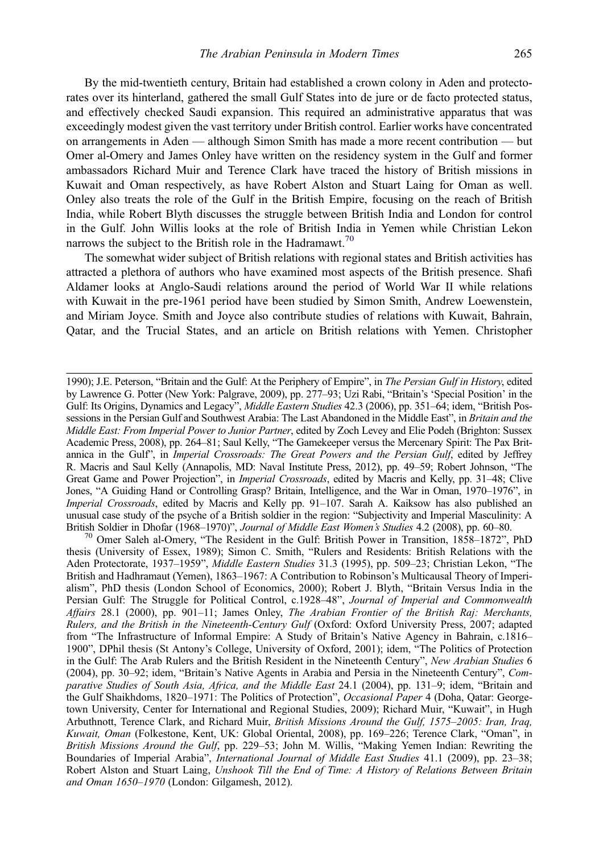By the mid-twentieth century, Britain had established a crown colony in Aden and protectorates over its hinterland, gathered the small Gulf States into de jure or de facto protected status, and effectively checked Saudi expansion. This required an administrative apparatus that was exceedingly modest given the vast territory under British control. Earlier works have concentrated on arrangements in Aden — although Simon Smith has made a more recent contribution — but Omer al-Omery and James Onley have written on the residency system in the Gulf and former ambassadors Richard Muir and Terence Clark have traced the history of British missions in Kuwait and Oman respectively, as have Robert Alston and Stuart Laing for Oman as well. Onley also treats the role of the Gulf in the British Empire, focusing on the reach of British India, while Robert Blyth discusses the struggle between British India and London for control in the Gulf. John Willis looks at the role of British India in Yemen while Christian Lekon narrows the subject to the British role in the Hadramawt.<sup>70</sup>

The somewhat wider subject of British relations with regional states and British activities has attracted a plethora of authors who have examined most aspects of the British presence. Shafi Aldamer looks at Anglo-Saudi relations around the period of World War II while relations with Kuwait in the pre-1961 period have been studied by Simon Smith, Andrew Loewenstein, and Miriam Joyce. Smith and Joyce also contribute studies of relations with Kuwait, Bahrain, Qatar, and the Trucial States, and an article on British relations with Yemen. Christopher

1990); J.E. Peterson, "Britain and the Gulf: At the Periphery of Empire", in The Persian Gulf in History, edited by Lawrence G. Potter (New York: Palgrave, 2009), pp. 277–93; Uzi Rabi, "Britain's 'Special Position' in the Gulf: Its Origins, Dynamics and Legacy", *Middle Eastern Studies* 42.3 (2006), pp. 351–64; idem, "British Possessions in the Persian Gulf and Southwest Arabia: The Last Abandoned in the Middle East", in Britain and the Middle East: From Imperial Power to Junior Partner, edited by Zoch Levey and Elie Podeh (Brighton: Sussex Academic Press, 2008), pp. 264–81; Saul Kelly, "The Gamekeeper versus the Mercenary Spirit: The Pax Britannica in the Gulf', in Imperial Crossroads: The Great Powers and the Persian Gulf, edited by Jeffrey R. Macris and Saul Kelly (Annapolis, MD: Naval Institute Press, 2012), pp. 49–59; Robert Johnson, "The Great Game and Power Projection", in Imperial Crossroads, edited by Macris and Kelly, pp. 31–48; Clive Jones, "A Guiding Hand or Controlling Grasp? Britain, Intelligence, and the War in Oman, 1970–1976", in Imperial Crossroads, edited by Macris and Kelly pp. 91–107. Sarah A. Kaiksow has also published an unusual case study of the psyche of a British soldier in the region: "Subjectivity and Imperial Masculinity: A<br>British Soldier in Dhofar (1968–1970)", Journal of Middle East Women's Studies 4.2 (2008), pp. 60–80.

<sup>70</sup> Omer Saleh al-Omery, "The Resident in the Gulf: British Power in Transition, 1858–1872", PhD thesis (University of Essex, 1989); Simon C. Smith, "Rulers and Residents: British Relations with the Aden Protectorate, 1937–1959", Middle Eastern Studies 31.3 (1995), pp. 509–23; Christian Lekon, "The British and Hadhramaut (Yemen), 1863–1967: A Contribution to Robinson's Multicausal Theory of Imperialism", PhD thesis (London School of Economics, 2000); Robert J. Blyth, "Britain Versus India in the Persian Gulf: The Struggle for Political Control, c.1928–48", Journal of Imperial and Commonwealth Affairs 28.1 (2000), pp. 901–11; James Onley, The Arabian Frontier of the British Raj: Merchants, Rulers, and the British in the Nineteenth-Century Gulf (Oxford: Oxford University Press, 2007; adapted from "The Infrastructure of Informal Empire: A Study of Britain's Native Agency in Bahrain, c.1816– 1900", DPhil thesis (St Antony's College, University of Oxford, 2001); idem, "The Politics of Protection in the Gulf: The Arab Rulers and the British Resident in the Nineteenth Century", New Arabian Studies 6 (2004), pp. 30–92; idem, "Britain's Native Agents in Arabia and Persia in the Nineteenth Century", Comparative Studies of South Asia, Africa, and the Middle East 24.1 (2004), pp. 131–9; idem, "Britain and the Gulf Shaikhdoms, 1820–1971: The Politics of Protection", Occasional Paper 4 (Doha, Qatar: Georgetown University, Center for International and Regional Studies, 2009); Richard Muir, "Kuwait", in Hugh Arbuthnott, Terence Clark, and Richard Muir, British Missions Around the Gulf, 1575–2005: Iran, Iraq, Kuwait, Oman (Folkestone, Kent, UK: Global Oriental, 2008), pp. 169–226; Terence Clark, "Oman", in British Missions Around the Gulf, pp. 229–53; John M. Willis, "Making Yemen Indian: Rewriting the Boundaries of Imperial Arabia", International Journal of Middle East Studies 41.1 (2009), pp. 23–38; Robert Alston and Stuart Laing, Unshook Till the End of Time: A History of Relations Between Britain and Oman 1650–1970 (London: Gilgamesh, 2012).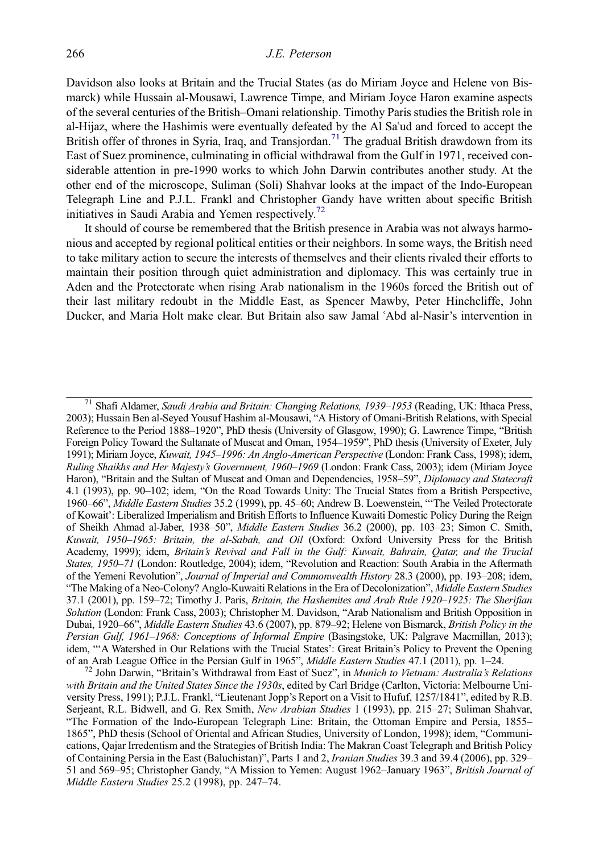Davidson also looks at Britain and the Trucial States (as do Miriam Joyce and Helene von Bismarck) while Hussain al-Mousawi, Lawrence Timpe, and Miriam Joyce Haron examine aspects of the several centuries of the British–Omani relationship. Timothy Paris studies the British role in al-Hijaz, where the Hashimis were eventually defeated by the Al Saʿud and forced to accept the British offer of thrones in Syria, Iraq, and Transjordan.<sup>71</sup> The gradual British drawdown from its East of Suez prominence, culminating in official withdrawal from the Gulf in 1971, received considerable attention in pre-1990 works to which John Darwin contributes another study. At the other end of the microscope, Suliman (Soli) Shahvar looks at the impact of the Indo-European Telegraph Line and P.J.L. Frankl and Christopher Gandy have written about specific British initiatives in Saudi Arabia and Yemen respectively.<sup>72</sup>

It should of course be remembered that the British presence in Arabia was not always harmonious and accepted by regional political entities or their neighbors. In some ways, the British need to take military action to secure the interests of themselves and their clients rivaled their efforts to maintain their position through quiet administration and diplomacy. This was certainly true in Aden and the Protectorate when rising Arab nationalism in the 1960s forced the British out of their last military redoubt in the Middle East, as Spencer Mawby, Peter Hinchcliffe, John Ducker, and Maria Holt make clear. But Britain also saw Jamal ʿAbd al-Nasir's intervention in

<sup>&</sup>lt;sup>71</sup> Shafi Aldamer, Saudi Arabia and Britain: Changing Relations, 1939–1953 (Reading, UK: Ithaca Press, 2003); Hussain Ben al-Seyed Yousuf Hashim al-Mousawi, "A History of Omani-British Relations, with Special Reference to the Period 1888–1920", PhD thesis (University of Glasgow, 1990); G. Lawrence Timpe, "British Foreign Policy Toward the Sultanate of Muscat and Oman, 1954–1959", PhD thesis (University of Exeter, July 1991); Miriam Joyce, Kuwait, 1945–1996: An Anglo-American Perspective (London: Frank Cass, 1998); idem, Ruling Shaikhs and Her Majesty's Government, 1960–1969 (London: Frank Cass, 2003); idem (Miriam Joyce Haron), "Britain and the Sultan of Muscat and Oman and Dependencies, 1958–59", Diplomacy and Statecraft 4.1 (1993), pp. 90–102; idem, "On the Road Towards Unity: The Trucial States from a British Perspective, 1960–66", Middle Eastern Studies 35.2 (1999), pp. 45–60; Andrew B. Loewenstein, "'The Veiled Protectorate of Kowait': Liberalized Imperialism and British Efforts to Influence Kuwaiti Domestic Policy During the Reign of Sheikh Ahmad al-Jaber, 1938–50", Middle Eastern Studies 36.2 (2000), pp. 103–23; Simon C. Smith, Kuwait, 1950–1965: Britain, the al-Sabah, and Oil (Oxford: Oxford University Press for the British Academy, 1999); idem, Britain's Revival and Fall in the Gulf: Kuwait, Bahrain, Qatar, and the Trucial States, 1950–71 (London: Routledge, 2004); idem, "Revolution and Reaction: South Arabia in the Aftermath of the Yemeni Revolution", Journal of Imperial and Commonwealth History 28.3 (2000), pp. 193–208; idem, "The Making of a Neo-Colony? Anglo-Kuwaiti Relations in the Era of Decolonization", Middle Eastern Studies 37.1 (2001), pp. 159–72; Timothy J. Paris, Britain, the Hashemites and Arab Rule 1920–1925: The Sherifian Solution (London: Frank Cass, 2003); Christopher M. Davidson, "Arab Nationalism and British Opposition in Dubai, 1920–66", Middle Eastern Studies 43.6 (2007), pp. 879–92; Helene von Bismarck, British Policy in the Persian Gulf, 1961–1968: Conceptions of Informal Empire (Basingstoke, UK: Palgrave Macmillan, 2013); idem, "'A Watershed in Our Relations with the Trucial States': Great Britain's Policy to Prevent the Opening of an Arab League Office in the Persian Gulf in 1965", *Middle Eastern Studies* 47.1 (2011), pp. 1–24.

<sup>&</sup>lt;sup>72</sup> John Darwin, "Britain's Withdrawal from East of Suez", in *Munich to Vietnam: Australia's Relations* with Britain and the United States Since the 1930s, edited by Carl Bridge (Carlton, Victoria: Melbourne University Press, 1991); P.J.L. Frankl, "Lieutenant Jopp's Report on a Visit to Hufuf, 1257/1841", edited by R.B. Serjeant, R.L. Bidwell, and G. Rex Smith, New Arabian Studies 1 (1993), pp. 215–27; Suliman Shahvar, "The Formation of the Indo-European Telegraph Line: Britain, the Ottoman Empire and Persia, 1855– 1865", PhD thesis (School of Oriental and African Studies, University of London, 1998); idem, "Communications, Qajar Irredentism and the Strategies of British India: The Makran Coast Telegraph and British Policy of Containing Persia in the East (Baluchistan)", Parts 1 and 2, Iranian Studies 39.3 and 39.4 (2006), pp. 329– 51 and 569–95; Christopher Gandy, "A Mission to Yemen: August 1962–January 1963", British Journal of Middle Eastern Studies 25.2 (1998), pp. 247–74.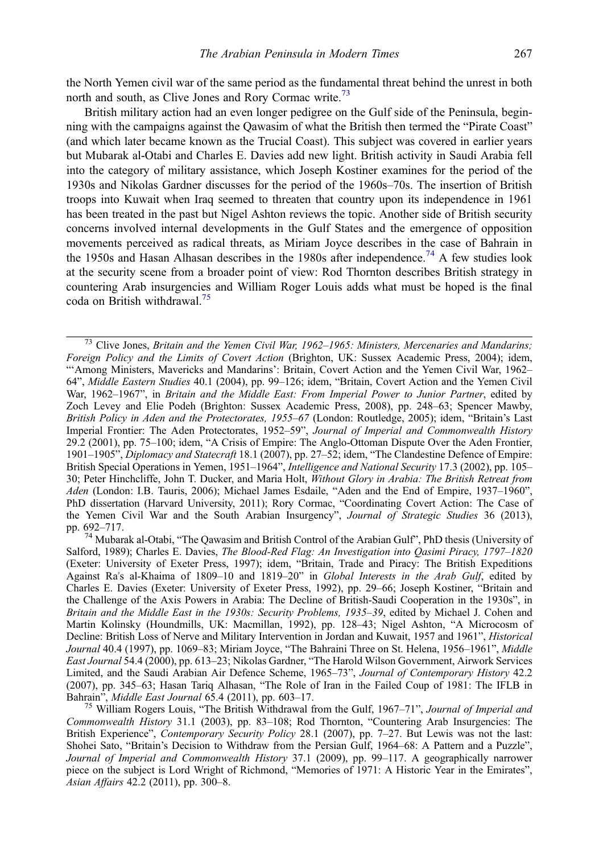the North Yemen civil war of the same period as the fundamental threat behind the unrest in both north and south, as Clive Jones and Rory Cormac write.<sup>73</sup>

British military action had an even longer pedigree on the Gulf side of the Peninsula, beginning with the campaigns against the Qawasim of what the British then termed the "Pirate Coast" (and which later became known as the Trucial Coast). This subject was covered in earlier years but Mubarak al-Otabi and Charles E. Davies add new light. British activity in Saudi Arabia fell into the category of military assistance, which Joseph Kostiner examines for the period of the 1930s and Nikolas Gardner discusses for the period of the 1960s–70s. The insertion of British troops into Kuwait when Iraq seemed to threaten that country upon its independence in 1961 has been treated in the past but Nigel Ashton reviews the topic. Another side of British security concerns involved internal developments in the Gulf States and the emergence of opposition movements perceived as radical threats, as Miriam Joyce describes in the case of Bahrain in the 1950s and Hasan Alhasan describes in the 1980s after independence.<sup>74</sup> A few studies look at the security scene from a broader point of view: Rod Thornton describes British strategy in countering Arab insurgencies and William Roger Louis adds what must be hoped is the final coda on British withdrawal.<sup>75</sup>

 $^{73}$  Clive Jones, Britain and the Yemen Civil War, 1962–1965: Ministers, Mercenaries and Mandarins; Foreign Policy and the Limits of Covert Action (Brighton, UK: Sussex Academic Press, 2004); idem, "'Among Ministers, Mavericks and Mandarins': Britain, Covert Action and the Yemen Civil War, 1962– 64", Middle Eastern Studies 40.1 (2004), pp. 99–126; idem, "Britain, Covert Action and the Yemen Civil War, 1962–1967", in Britain and the Middle East: From Imperial Power to Junior Partner, edited by Zoch Levey and Elie Podeh (Brighton: Sussex Academic Press, 2008), pp. 248–63; Spencer Mawby, British Policy in Aden and the Protectorates, 1955–67 (London: Routledge, 2005); idem, "Britain's Last Imperial Frontier: The Aden Protectorates, 1952–59", Journal of Imperial and Commonwealth History 29.2 (2001), pp. 75–100; idem, "A Crisis of Empire: The Anglo-Ottoman Dispute Over the Aden Frontier, 1901–1905", Diplomacy and Statecraft 18.1 (2007), pp. 27–52; idem, "The Clandestine Defence of Empire: British Special Operations in Yemen, 1951–1964", Intelligence and National Security 17.3 (2002), pp. 105– 30; Peter Hinchcliffe, John T. Ducker, and Maria Holt, Without Glory in Arabia: The British Retreat from Aden (London: I.B. Tauris, 2006); Michael James Esdaile, "Aden and the End of Empire, 1937–1960", PhD dissertation (Harvard University, 2011); Rory Cormac, "Coordinating Covert Action: The Case of the Yemen Civil War and the South Arabian Insurgency", Journal of Strategic Studies 36 (2013), pp. 692-717.

 $^{74}$  Mubarak al-Otabi, "The Qawasim and British Control of the Arabian Gulf", PhD thesis (University of Salford, 1989); Charles E. Davies, The Blood-Red Flag: An Investigation into Oasimi Piracy, 1797–1820 (Exeter: University of Exeter Press, 1997); idem, "Britain, Trade and Piracy: The British Expeditions Against Raʾs al-Khaima of 1809–10 and 1819–20" in Global Interests in the Arab Gulf, edited by Charles E. Davies (Exeter: University of Exeter Press, 1992), pp. 29–66; Joseph Kostiner, "Britain and the Challenge of the Axis Powers in Arabia: The Decline of British-Saudi Cooperation in the 1930s", in Britain and the Middle East in the 1930s: Security Problems, 1935–39, edited by Michael J. Cohen and Martin Kolinsky (Houndmills, UK: Macmillan, 1992), pp. 128–43; Nigel Ashton, "A Microcosm of Decline: British Loss of Nerve and Military Intervention in Jordan and Kuwait, 1957 and 1961", Historical Journal 40.4 (1997), pp. 1069–83; Miriam Joyce, "The Bahraini Three on St. Helena, 1956–1961", Middle East Journal 54.4 (2000), pp. 613–23; Nikolas Gardner, "The Harold Wilson Government, Airwork Services Limited, and the Saudi Arabian Air Defence Scheme, 1965–73", Journal of Contemporary History 42.2 (2007), pp. 345–63; Hasan Tariq Alhasan, "The Role of Iran in the Failed Coup of 1981: The IFLB in Bahrain", Middle East Journal 65.4 (2011), pp. 603–17.<br><sup>75</sup> William Rogers Louis, "The British Withdrawal from the Gulf, 1967–71", Journal of Imperial and

Commonwealth History 31.1 (2003), pp. 83–108; Rod Thornton, "Countering Arab Insurgencies: The British Experience", Contemporary Security Policy 28.1 (2007), pp. 7-27. But Lewis was not the last: Shohei Sato, "Britain's Decision to Withdraw from the Persian Gulf, 1964–68: A Pattern and a Puzzle", Journal of Imperial and Commonwealth History 37.1 (2009), pp. 99–117. A geographically narrower piece on the subject is Lord Wright of Richmond, "Memories of 1971: A Historic Year in the Emirates", Asian Affairs 42.2 (2011), pp. 300–8.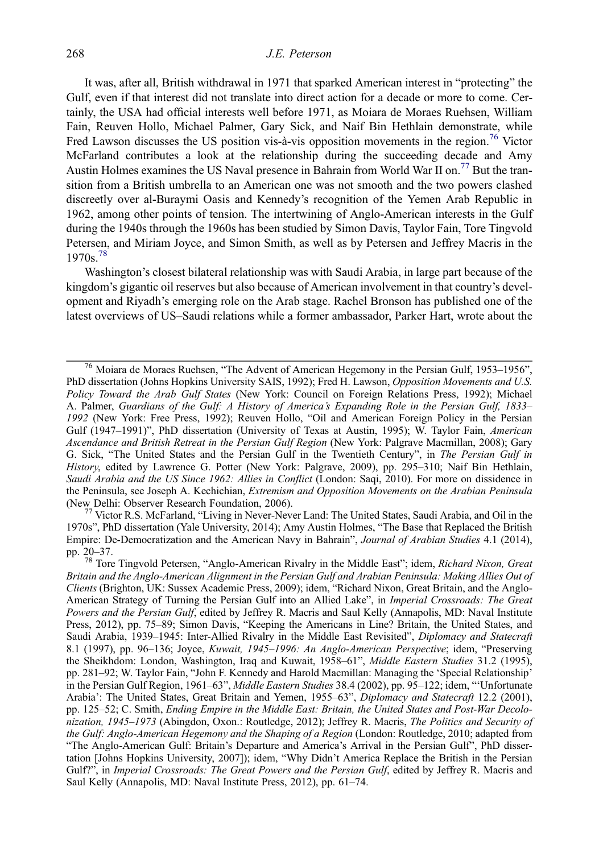It was, after all, British withdrawal in 1971 that sparked American interest in "protecting" the Gulf, even if that interest did not translate into direct action for a decade or more to come. Certainly, the USA had official interests well before 1971, as Moiara de Moraes Ruehsen, William Fain, Reuven Hollo, Michael Palmer, Gary Sick, and Naif Bin Hethlain demonstrate, while Fred Lawson discusses the US position vis-à-vis opposition movements in the region.<sup>76</sup> Victor McFarland contributes a look at the relationship during the succeeding decade and Amy Austin Holmes examines the US Naval presence in Bahrain from World War II on.<sup>77</sup> But the transition from a British umbrella to an American one was not smooth and the two powers clashed discreetly over al-Buraymi Oasis and Kennedy's recognition of the Yemen Arab Republic in 1962, among other points of tension. The intertwining of Anglo-American interests in the Gulf during the 1940s through the 1960s has been studied by Simon Davis, Taylor Fain, Tore Tingvold Petersen, and Miriam Joyce, and Simon Smith, as well as by Petersen and Jeffrey Macris in the 1970s.78

Washington's closest bilateral relationship was with Saudi Arabia, in large part because of the kingdom's gigantic oil reserves but also because of American involvement in that country's development and Riyadh's emerging role on the Arab stage. Rachel Bronson has published one of the latest overviews of US–Saudi relations while a former ambassador, Parker Hart, wrote about the

<sup>76</sup> Moiara de Moraes Ruehsen, "The Advent of American Hegemony in the Persian Gulf, 1953-1956", PhD dissertation (Johns Hopkins University SAIS, 1992); Fred H. Lawson, Opposition Movements and U.S. Policy Toward the Arab Gulf States (New York: Council on Foreign Relations Press, 1992); Michael A. Palmer, Guardians of the Gulf: A History of America's Expanding Role in the Persian Gulf, 1833– 1992 (New York: Free Press, 1992); Reuven Hollo, "Oil and American Foreign Policy in the Persian Gulf (1947–1991)", PhD dissertation (University of Texas at Austin, 1995); W. Taylor Fain, American Ascendance and British Retreat in the Persian Gulf Region (New York: Palgrave Macmillan, 2008); Gary G. Sick, "The United States and the Persian Gulf in the Twentieth Century", in The Persian Gulf in History, edited by Lawrence G. Potter (New York: Palgrave, 2009), pp. 295–310; Naif Bin Hethlain, Saudi Arabia and the US Since 1962: Allies in Conflict (London: Saqi, 2010). For more on dissidence in the Peninsula, see Joseph A. Kechichian, *Extremism and Opposition Movements on the Arabian Peninsula* (New Delhi: Observer Research Foundation, 2006).

 $^{77}$  Victor R.S. McFarland, "Living in Never-Never Land: The United States, Saudi Arabia, and Oil in the 1970s", PhD dissertation (Yale University, 2014); Amy Austin Holmes, "The Base that Replaced the British Empire: De-Democratization and the American Navy in Bahrain", Journal of Arabian Studies 4.1 (2014), pp. 20–37.

 $\frac{78}{78}$  Tore Tingvold Petersen, "Anglo-American Rivalry in the Middle East"; idem, Richard Nixon, Great Britain and the Anglo-American Alignment in the Persian Gulf and Arabian Peninsula: Making Allies Out of Clients (Brighton, UK: Sussex Academic Press, 2009); idem, "Richard Nixon, Great Britain, and the Anglo-American Strategy of Turning the Persian Gulf into an Allied Lake", in Imperial Crossroads: The Great Powers and the Persian Gulf, edited by Jeffrey R. Macris and Saul Kelly (Annapolis, MD: Naval Institute Press, 2012), pp. 75–89; Simon Davis, "Keeping the Americans in Line? Britain, the United States, and Saudi Arabia, 1939–1945: Inter-Allied Rivalry in the Middle East Revisited", Diplomacy and Statecraft 8.1 (1997), pp. 96–136; Joyce, Kuwait, 1945–1996: An Anglo-American Perspective; idem, "Preserving the Sheikhdom: London, Washington, Iraq and Kuwait, 1958-61", Middle Eastern Studies 31.2 (1995), pp. 281–92; W. Taylor Fain, "John F. Kennedy and Harold Macmillan: Managing the 'Special Relationship' in the Persian Gulf Region, 1961–63", *Middle Eastern Studies* 38.4 (2002), pp. 95–122; idem, "'Unfortunate Arabia': The United States, Great Britain and Yemen, 1955–63", Diplomacy and Statecraft 12.2 (2001), pp. 125–52; C. Smith, Ending Empire in the Middle East: Britain, the United States and Post-War Decolonization, 1945–1973 (Abingdon, Oxon.: Routledge, 2012); Jeffrey R. Macris, The Politics and Security of the Gulf: Anglo-American Hegemony and the Shaping of a Region (London: Routledge, 2010; adapted from "The Anglo-American Gulf: Britain's Departure and America's Arrival in the Persian Gulf", PhD dissertation [Johns Hopkins University, 2007]); idem, "Why Didn't America Replace the British in the Persian Gulf?", in Imperial Crossroads: The Great Powers and the Persian Gulf, edited by Jeffrey R. Macris and Saul Kelly (Annapolis, MD: Naval Institute Press, 2012), pp. 61–74.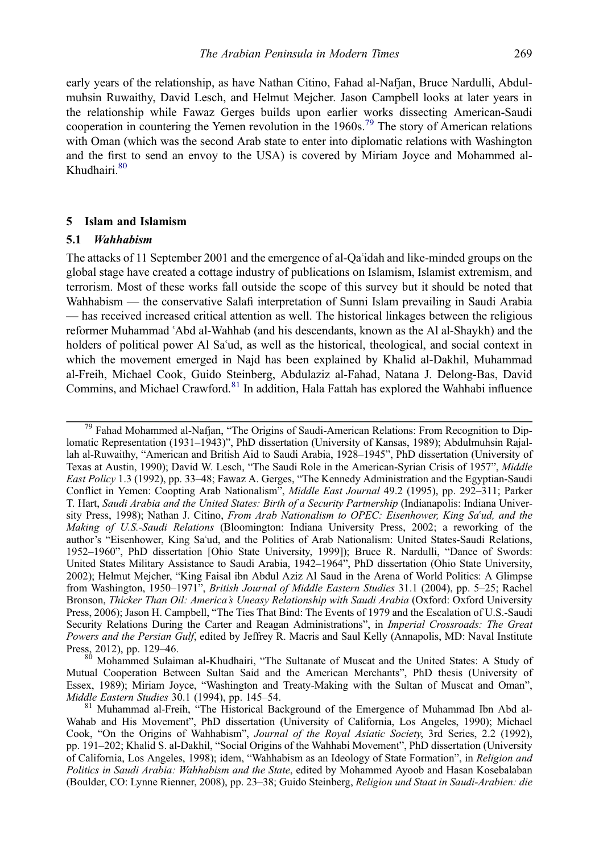early years of the relationship, as have Nathan Citino, Fahad al-Nafjan, Bruce Nardulli, Abdulmuhsin Ruwaithy, David Lesch, and Helmut Mejcher. Jason Campbell looks at later years in the relationship while Fawaz Gerges builds upon earlier works dissecting American-Saudi cooperation in countering the Yemen revolution in the  $1960s^{79}$  The story of American relations with Oman (which was the second Arab state to enter into diplomatic relations with Washington and the first to send an envoy to the USA) is covered by Miriam Joyce and Mohammed al-Khudhairi.<sup>80</sup>

#### 5 Islam and Islamism

#### 5.1 Wahhabism

The attacks of 11 September 2001 and the emergence of al-Qaʿidah and like-minded groups on the global stage have created a cottage industry of publications on Islamism, Islamist extremism, and terrorism. Most of these works fall outside the scope of this survey but it should be noted that Wahhabism — the conservative Salafi interpretation of Sunni Islam prevailing in Saudi Arabia — has received increased critical attention as well. The historical linkages between the religious reformer Muhammad ʿAbd al-Wahhab (and his descendants, known as the Al al-Shaykh) and the holders of political power Al Sa'ud, as well as the historical, theological, and social context in which the movement emerged in Najd has been explained by Khalid al-Dakhil, Muhammad al-Freih, Michael Cook, Guido Steinberg, Abdulaziz al-Fahad, Natana J. Delong-Bas, David Commins, and Michael Crawford.<sup>81</sup> In addition, Hala Fattah has explored the Wahhabi influence

<sup>&</sup>lt;sup>79</sup> Fahad Mohammed al-Nafjan, "The Origins of Saudi-American Relations: From Recognition to Diplomatic Representation (1931–1943)", PhD dissertation (University of Kansas, 1989); Abdulmuhsin Rajallah al-Ruwaithy, "American and British Aid to Saudi Arabia, 1928–1945", PhD dissertation (University of Texas at Austin, 1990); David W. Lesch, "The Saudi Role in the American-Syrian Crisis of 1957", Middle East Policy 1.3 (1992), pp. 33–48; Fawaz A. Gerges, "The Kennedy Administration and the Egyptian-Saudi Conflict in Yemen: Coopting Arab Nationalism", Middle East Journal 49.2 (1995), pp. 292–311; Parker T. Hart, Saudi Arabia and the United States: Birth of a Security Partnership (Indianapolis: Indiana University Press, 1998); Nathan J. Citino, *From Arab Nationalism to OPEC: Eisenhower, King Sa'ud, and the* Making of U.S.-Saudi Relations (Bloomington: Indiana University Press, 2002; a reworking of the author's "Eisenhower, King Saʿud, and the Politics of Arab Nationalism: United States-Saudi Relations, 1952–1960", PhD dissertation [Ohio State University, 1999]); Bruce R. Nardulli, "Dance of Swords: United States Military Assistance to Saudi Arabia, 1942–1964", PhD dissertation (Ohio State University, 2002); Helmut Mejcher, "King Faisal ibn Abdul Aziz Al Saud in the Arena of World Politics: A Glimpse from Washington, 1950–1971", British Journal of Middle Eastern Studies 31.1 (2004), pp. 5–25; Rachel Bronson, Thicker Than Oil: America's Uneasy Relationship with Saudi Arabia (Oxford: Oxford University Press, 2006); Jason H. Campbell, "The Ties That Bind: The Events of 1979 and the Escalation of U.S.-Saudi Security Relations During the Carter and Reagan Administrations", in Imperial Crossroads: The Great Powers and the Persian Gulf, edited by Jeffrey R. Macris and Saul Kelly (Annapolis, MD: Naval Institute Press, 2012), pp. 129–46.<br><sup>80</sup> Mohammed Sulaiman al-Khudhairi, "The Sultanate of Muscat and the United States: A Study of

Mutual Cooperation Between Sultan Said and the American Merchants", PhD thesis (University of Essex, 1989); Miriam Joyce, "Washington and Treaty-Making with the Sultan of Muscat and Oman", Middle Eastern Studies 30.1 (1994), pp. 145–54.<br><sup>81</sup> Muhammad al-Freih, "The Historical Background of the Emergence of Muhammad Ibn Abd al-

Wahab and His Movement", PhD dissertation (University of California, Los Angeles, 1990); Michael Cook, "On the Origins of Wahhabism", Journal of the Royal Asiatic Society, 3rd Series, 2.2 (1992), pp. 191–202; Khalid S. al-Dakhil, "Social Origins of the Wahhabi Movement", PhD dissertation (University of California, Los Angeles, 1998); idem, "Wahhabism as an Ideology of State Formation", in Religion and Politics in Saudi Arabia: Wahhabism and the State, edited by Mohammed Ayoob and Hasan Kosebalaban (Boulder, CO: Lynne Rienner, 2008), pp. 23–38; Guido Steinberg, Religion und Staat in Saudi-Arabien: die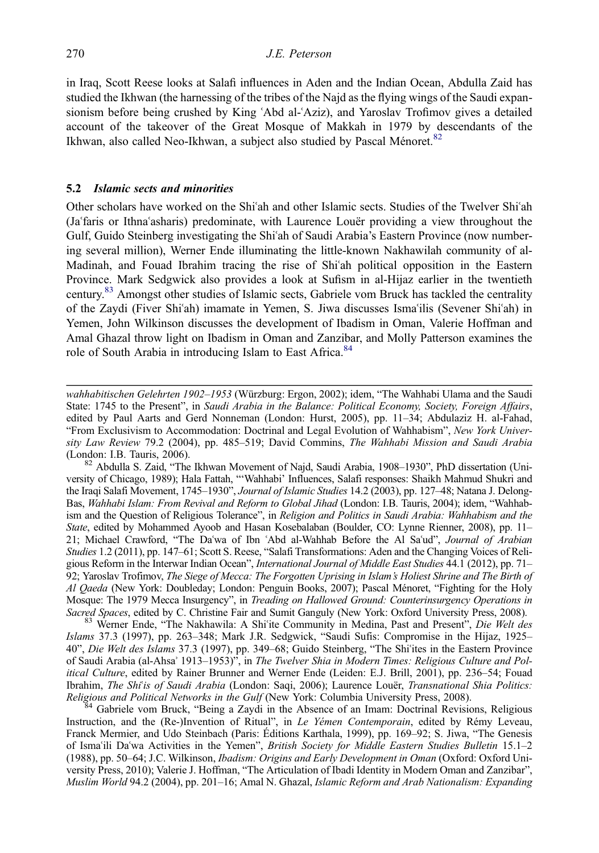in Iraq, Scott Reese looks at Salafi influences in Aden and the Indian Ocean, Abdulla Zaid has studied the Ikhwan (the harnessing of the tribes of the Najd as the flying wings of the Saudi expansionism before being crushed by King 'Abd al-'Aziz), and Yaroslav Trofimov gives a detailed account of the takeover of the Great Mosque of Makkah in 1979 by descendants of the Ikhwan, also called Neo-Ikhwan, a subject also studied by Pascal Ménoret.<sup>82</sup>

#### 5.2 Islamic sects and minorities

Other scholars have worked on the Shiʿah and other Islamic sects. Studies of the Twelver Shiʿah (Jaʿfaris or Ithnaʿasharis) predominate, with Laurence Louër providing a view throughout the Gulf, Guido Steinberg investigating the Shiʿah of Saudi Arabia's Eastern Province (now numbering several million), Werner Ende illuminating the little-known Nakhawilah community of al-Madinah, and Fouad Ibrahim tracing the rise of Shiʿah political opposition in the Eastern Province. Mark Sedgwick also provides a look at Sufism in al-Hijaz earlier in the twentieth century.<sup>83</sup> Amongst other studies of Islamic sects, Gabriele vom Bruck has tackled the centrality of the Zaydi (Fiver Shiʿah) imamate in Yemen, S. Jiwa discusses Ismaʿilis (Sevener Shiʿah) in Yemen, John Wilkinson discusses the development of Ibadism in Oman, Valerie Hoffman and Amal Ghazal throw light on Ibadism in Oman and Zanzibar, and Molly Patterson examines the role of South Arabia in introducing Islam to East Africa.<sup>84</sup>

<sup>83</sup> Werner Ende, "The Nakhawila: A Shiʿite Community in Medina, Past and Present", Die Welt des Islams 37.3 (1997), pp. 263–348; Mark J.R. Sedgwick, "Saudi Sufis: Compromise in the Hijaz, 1925– 40", Die Welt des Islams 37.3 (1997), pp. 349–68; Guido Steinberg, "The Shiʿites in the Eastern Province of Saudi Arabia (al-Ahsaʾ 1913–1953)", in The Twelver Shia in Modern Times: Religious Culture and Political Culture, edited by Rainer Brunner and Werner Ende (Leiden: E.J. Brill, 2001), pp. 236–54; Fouad Ibrahim, The Shiʿis of Saudi Arabia (London: Saqi, 2006); Laurence Louër, Transnational Shia Politics: Religious and Political Networks in the Gulf (New York: Columbia University Press, 2008).<br><sup>84</sup> Gabriele vom Bruck, "Being a Zaydi in the Absence of an Imam: Doctrinal Revisions, Religious

Instruction, and the (Re-)Invention of Ritual", in Le Yémen Contemporain, edited by Rémy Leveau, Franck Mermier, and Udo Steinbach (Paris: Éditions Karthala, 1999), pp. 169–92; S. Jiwa, "The Genesis of Ismaʿili Daʿwa Activities in the Yemen", British Society for Middle Eastern Studies Bulletin 15.1–2 (1988), pp. 50–64; J.C. Wilkinson, Ibadism: Origins and Early Development in Oman (Oxford: Oxford University Press, 2010); Valerie J. Hoffman, "The Articulation of Ibadi Identity in Modern Oman and Zanzibar", Muslim World 94.2 (2004), pp. 201–16; Amal N. Ghazal, Islamic Reform and Arab Nationalism: Expanding

wahhabitischen Gelehrten 1902-1953 (Würzburg: Ergon, 2002); idem, "The Wahhabi Ulama and the Saudi State: 1745 to the Present", in Saudi Arabia in the Balance: Political Economy, Society, Foreign Affairs, edited by Paul Aarts and Gerd Nonneman (London: Hurst, 2005), pp. 11–34; Abdulaziz H. al-Fahad, "From Exclusivism to Accommodation: Doctrinal and Legal Evolution of Wahhabism", New York University Law Review 79.2 (2004), pp. 485–519; David Commins, The Wahhabi Mission and Saudi Arabia (London: I.B. Tauris. 2006).

<sup>&</sup>lt;sup>82</sup> Abdulla S. Zaid, "The Ikhwan Movement of Najd, Saudi Arabia, 1908–1930", PhD dissertation (University of Chicago, 1989); Hala Fattah, "'Wahhabi' Influences, Salafi responses: Shaikh Mahmud Shukri and the Iraqi Salafi Movement, 1745–1930", Journal of Islamic Studies 14.2 (2003), pp. 127–48; Natana J. Delong-Bas, Wahhabi Islam: From Revival and Reform to Global Jihad (London: I.B. Tauris, 2004); idem, "Wahhabism and the Question of Religious Tolerance", in Religion and Politics in Saudi Arabia: Wahhabism and the State, edited by Mohammed Ayoob and Hasan Kosebalaban (Boulder, CO: Lynne Rienner, 2008), pp. 11– 21; Michael Crawford, "The Daʿwa of Ibn ʿAbd al-Wahhab Before the Al Saʿud", Journal of Arabian Studies 1.2 (2011), pp. 147–61; Scott S. Reese, "Salafi Transformations: Aden and the Changing Voices of Religious Reform in the Interwar Indian Ocean", International Journal of Middle East Studies 44.1 (2012), pp. 71– 92; Yaroslav Trofimov, The Siege of Mecca: The Forgotten Uprising in Islam's Holiest Shrine and The Birth of Al Qaeda (New York: Doubleday; London: Penguin Books, 2007); Pascal Ménoret, "Fighting for the Holy Mosque: The 1979 Mecca Insurgency", in *Treading on Hallowed Ground: Counterinsurgency Operations in* Sacred Spaces, edited by C. Christine Fair and Sumit Ganguly (New York: Oxford University Press, 2008).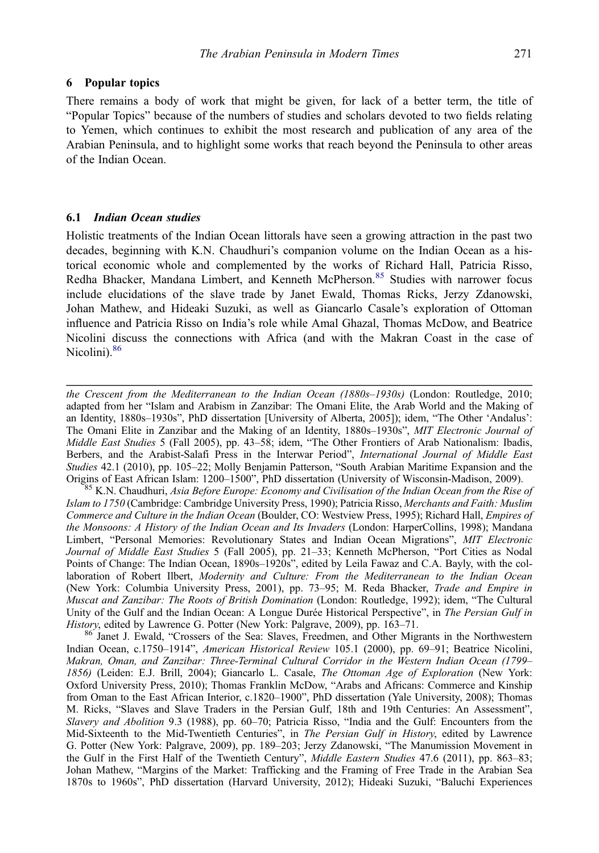#### 6 Popular topics

There remains a body of work that might be given, for lack of a better term, the title of "Popular Topics" because of the numbers of studies and scholars devoted to two fields relating to Yemen, which continues to exhibit the most research and publication of any area of the Arabian Peninsula, and to highlight some works that reach beyond the Peninsula to other areas of the Indian Ocean.

#### 6.1 Indian Ocean studies

Holistic treatments of the Indian Ocean littorals have seen a growing attraction in the past two decades, beginning with K.N. Chaudhuri's companion volume on the Indian Ocean as a historical economic whole and complemented by the works of Richard Hall, Patricia Risso, Redha Bhacker, Mandana Limbert, and Kenneth McPherson.<sup>85</sup> Studies with narrower focus include elucidations of the slave trade by Janet Ewald, Thomas Ricks, Jerzy Zdanowski, Johan Mathew, and Hideaki Suzuki, as well as Giancarlo Casale's exploration of Ottoman influence and Patricia Risso on India's role while Amal Ghazal, Thomas McDow, and Beatrice Nicolini discuss the connections with Africa (and with the Makran Coast in the case of Nicolini).<sup>86</sup>

the Crescent from the Mediterranean to the Indian Ocean (1880s–1930s) (London: Routledge, 2010; adapted from her "Islam and Arabism in Zanzibar: The Omani Elite, the Arab World and the Making of an Identity, 1880s–1930s", PhD dissertation [University of Alberta, 2005]); idem, "The Other 'Andalus': The Omani Elite in Zanzibar and the Making of an Identity, 1880s–1930s", MIT Electronic Journal of Middle East Studies 5 (Fall 2005), pp. 43–58; idem, "The Other Frontiers of Arab Nationalism: Ibadis, Berbers, and the Arabist-Salafi Press in the Interwar Period", International Journal of Middle East Studies 42.1 (2010), pp. 105–22; Molly Benjamin Patterson, "South Arabian Maritime Expansion and the Origins of East African Islam: 1200–1500", PhD dissertation (University of Wisconsin-Madison, 2009).<br><sup>85</sup> K.N. Chaudhuri, *Asia Before Europe: Economy and Civilisation of the Indian Ocean from the Rise of* 

Islam to 1750 (Cambridge: Cambridge University Press, 1990); Patricia Risso, Merchants and Faith: Muslim Commerce and Culture in the Indian Ocean (Boulder, CO: Westview Press, 1995); Richard Hall, Empires of the Monsoons: A History of the Indian Ocean and Its Invaders (London: HarperCollins, 1998); Mandana Limbert, "Personal Memories: Revolutionary States and Indian Ocean Migrations", MIT Electronic Journal of Middle East Studies 5 (Fall 2005), pp. 21–33; Kenneth McPherson, "Port Cities as Nodal Points of Change: The Indian Ocean, 1890s–1920s", edited by Leila Fawaz and C.A. Bayly, with the collaboration of Robert Ilbert, Modernity and Culture: From the Mediterranean to the Indian Ocean (New York: Columbia University Press, 2001), pp. 73–95; M. Reda Bhacker, Trade and Empire in Muscat and Zanzibar: The Roots of British Domination (London: Routledge, 1992); idem, "The Cultural Unity of the Gulf and the Indian Ocean: A Longue Durée Historical Perspective", in The Persian Gulf in History, edited by Lawrence G. Potter (New York: Palgrave, 2009), pp. 163–71.

<sup>86</sup> Janet J. Ewald, "Crossers of the Sea: Slaves, Freedmen, and Other Migrants in the Northwestern Indian Ocean, c.1750–1914", American Historical Review 105.1 (2000), pp. 69–91; Beatrice Nicolini, Makran, Oman, and Zanzibar: Three-Terminal Cultural Corridor in the Western Indian Ocean (1799– 1856) (Leiden: E.J. Brill, 2004); Giancarlo L. Casale, The Ottoman Age of Exploration (New York: Oxford University Press, 2010); Thomas Franklin McDow, "Arabs and Africans: Commerce and Kinship from Oman to the East African Interior, c.1820–1900", PhD dissertation (Yale University, 2008); Thomas M. Ricks, "Slaves and Slave Traders in the Persian Gulf, 18th and 19th Centuries: An Assessment", Slavery and Abolition 9.3 (1988), pp. 60–70; Patricia Risso, "India and the Gulf: Encounters from the Mid-Sixteenth to the Mid-Twentieth Centuries", in The Persian Gulf in History, edited by Lawrence G. Potter (New York: Palgrave, 2009), pp. 189–203; Jerzy Zdanowski, "The Manumission Movement in the Gulf in the First Half of the Twentieth Century", Middle Eastern Studies 47.6 (2011), pp. 863–83; Johan Mathew, "Margins of the Market: Trafficking and the Framing of Free Trade in the Arabian Sea 1870s to 1960s", PhD dissertation (Harvard University, 2012); Hideaki Suzuki, "Baluchi Experiences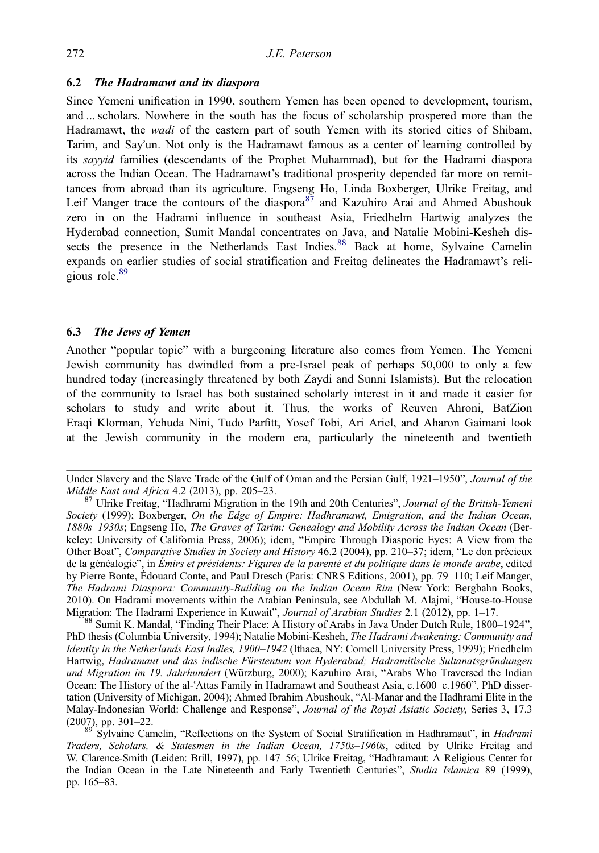#### 6.2 The Hadramawt and its diaspora

Since Yemeni unification in 1990, southern Yemen has been opened to development, tourism, and ... scholars. Nowhere in the south has the focus of scholarship prospered more than the Hadramawt, the wadi of the eastern part of south Yemen with its storied cities of Shibam, Tarim, and Sayʾun. Not only is the Hadramawt famous as a center of learning controlled by its sayyid families (descendants of the Prophet Muhammad), but for the Hadrami diaspora across the Indian Ocean. The Hadramawt's traditional prosperity depended far more on remittances from abroad than its agriculture. Engseng Ho, Linda Boxberger, Ulrike Freitag, and Leif Manger trace the contours of the diaspora<sup>87</sup> and Kazuhiro Arai and Ahmed Abushouk zero in on the Hadrami influence in southeast Asia, Friedhelm Hartwig analyzes the Hyderabad connection, Sumit Mandal concentrates on Java, and Natalie Mobini-Kesheh dissects the presence in the Netherlands East Indies.<sup>88</sup> Back at home, Sylvaine Camelin expands on earlier studies of social stratification and Freitag delineates the Hadramawt's religious role.<sup>89</sup>

#### 6.3 The Jews of Yemen

Another "popular topic" with a burgeoning literature also comes from Yemen. The Yemeni Jewish community has dwindled from a pre-Israel peak of perhaps 50,000 to only a few hundred today (increasingly threatened by both Zaydi and Sunni Islamists). But the relocation of the community to Israel has both sustained scholarly interest in it and made it easier for scholars to study and write about it. Thus, the works of Reuven Ahroni, BatZion Eraqi Klorman, Yehuda Nini, Tudo Parfitt, Yosef Tobi, Ari Ariel, and Aharon Gaimani look at the Jewish community in the modern era, particularly the nineteenth and twentieth

 $88$  Sumit K. Mandal, "Finding Their Place: A History of Arabs in Java Under Dutch Rule, 1800–1924", PhD thesis (Columbia University, 1994); Natalie Mobini-Kesheh, The Hadrami Awakening: Community and Identity in the Netherlands East Indies, 1900–1942 (Ithaca, NY: Cornell University Press, 1999); Friedhelm Hartwig, Hadramaut und das indische Fürstentum von Hyderabad; Hadramitische Sultanatsgründungen und Migration im 19. Jahrhundert (Würzburg, 2000); Kazuhiro Arai, "Arabs Who Traversed the Indian Ocean: The History of the al-ʿAttas Family in Hadramawt and Southeast Asia, c.1600–c.1960", PhD dissertation (University of Michigan, 2004); Ahmed Ibrahim Abushouk, "Al-Manar and the Hadhrami Elite in the Malay-Indonesian World: Challenge and Response", Journal of the Royal Asiatic Society, Series 3, 17.3

(2007), pp. 301–22. 89 Sylvaine Camelin, "Reflections on the System of Social Stratification in Hadhramaut", in *Hadrami* 89 Sylvaine Camelin, "Reflections on the System of Social Stratification in Hadhramaut", in Hadrami Traders, Scholars, & Statesmen in the Indian Ocean, 1750s–1960s, edited by Ulrike Freitag and W. Clarence-Smith (Leiden: Brill, 1997), pp. 147–56; Ulrike Freitag, "Hadhramaut: A Religious Center for the Indian Ocean in the Late Nineteenth and Early Twentieth Centuries", Studia Islamica 89 (1999), pp. 165–83.

Under Slavery and the Slave Trade of the Gulf of Oman and the Persian Gulf, 1921–1950", Journal of the Middle East and Africa 4.2 (2013), pp. 205–23.<br><sup>87</sup> Ulrike Freitag, "Hadhrami Migration in the 19th and 20th Centuries", *Journal of the British-Yemeni* 

Society (1999); Boxberger, On the Edge of Empire: Hadhramawt, Emigration, and the Indian Ocean, 1880s–1930s; Engseng Ho, The Graves of Tarim: Genealogy and Mobility Across the Indian Ocean (Berkeley: University of California Press, 2006); idem, "Empire Through Diasporic Eyes: A View from the Other Boat", Comparative Studies in Society and History 46.2 (2004), pp. 210–37; idem, "Le don précieux de la généalogie", in Émirs et présidents: Figures de la parenté et du politique dans le monde arabe, edited by Pierre Bonte, Édouard Conte, and Paul Dresch (Paris: CNRS Editions, 2001), pp. 79–110; Leif Manger, The Hadrami Diaspora: Community-Building on the Indian Ocean Rim (New York: Bergbahn Books, 2010). On Hadrami movements within the Arabian Peninsula, see Abdullah M. Alajmi, "House-to-House Migration: The Hadrami Experience in Kuwait", Journal of Arabian Studies 2.1 (2012), pp. 1–17.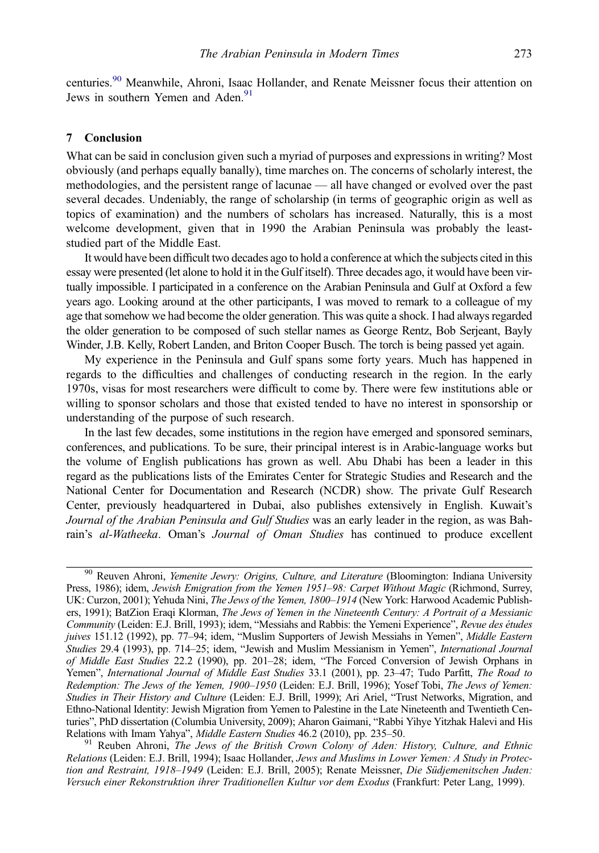centuries.<sup>90</sup> Meanwhile, Ahroni, Isaac Hollander, and Renate Meissner focus their attention on Jews in southern Yemen and Aden.<sup>91</sup>

#### 7 Conclusion

What can be said in conclusion given such a myriad of purposes and expressions in writing? Most obviously (and perhaps equally banally), time marches on. The concerns of scholarly interest, the methodologies, and the persistent range of lacunae — all have changed or evolved over the past several decades. Undeniably, the range of scholarship (in terms of geographic origin as well as topics of examination) and the numbers of scholars has increased. Naturally, this is a most welcome development, given that in 1990 the Arabian Peninsula was probably the leaststudied part of the Middle East.

It would have been difficult two decades ago to hold a conference at which the subjects cited in this essay were presented (let alone to hold it in the Gulf itself). Three decades ago, it would have been virtually impossible. I participated in a conference on the Arabian Peninsula and Gulf at Oxford a few years ago. Looking around at the other participants, I was moved to remark to a colleague of my age that somehow we had become the older generation. This was quite a shock. I had always regarded the older generation to be composed of such stellar names as George Rentz, Bob Serjeant, Bayly Winder, J.B. Kelly, Robert Landen, and Briton Cooper Busch. The torch is being passed yet again.

My experience in the Peninsula and Gulf spans some forty years. Much has happened in regards to the difficulties and challenges of conducting research in the region. In the early 1970s, visas for most researchers were difficult to come by. There were few institutions able or willing to sponsor scholars and those that existed tended to have no interest in sponsorship or understanding of the purpose of such research.

In the last few decades, some institutions in the region have emerged and sponsored seminars, conferences, and publications. To be sure, their principal interest is in Arabic-language works but the volume of English publications has grown as well. Abu Dhabi has been a leader in this regard as the publications lists of the Emirates Center for Strategic Studies and Research and the National Center for Documentation and Research (NCDR) show. The private Gulf Research Center, previously headquartered in Dubai, also publishes extensively in English. Kuwait's Journal of the Arabian Peninsula and Gulf Studies was an early leader in the region, as was Bahrain's al-Watheeka. Oman's Journal of Oman Studies has continued to produce excellent

<sup>&</sup>lt;sup>90</sup> Reuven Ahroni, *Yemenite Jewry: Origins, Culture, and Literature* (Bloomington: Indiana University Press, 1986); idem, Jewish Emigration from the Yemen 1951–98: Carpet Without Magic (Richmond, Surrey, UK: Curzon, 2001); Yehuda Nini, The Jews of the Yemen, 1800–1914 (New York: Harwood Academic Publishers, 1991); BatZion Eraqi Klorman, The Jews of Yemen in the Nineteenth Century: A Portrait of a Messianic Community (Leiden: E.J. Brill, 1993); idem, "Messiahs and Rabbis: the Yemeni Experience", Revue des études juives 151.12 (1992), pp. 77-94; idem, "Muslim Supporters of Jewish Messiahs in Yemen", Middle Eastern Studies 29.4 (1993), pp. 714–25; idem, "Jewish and Muslim Messianism in Yemen", International Journal of Middle East Studies 22.2 (1990), pp. 201–28; idem, "The Forced Conversion of Jewish Orphans in Yemen", International Journal of Middle East Studies 33.1 (2001), pp. 23-47; Tudo Parfitt, The Road to Redemption: The Jews of the Yemen, 1900–1950 (Leiden: E.J. Brill, 1996); Yosef Tobi, The Jews of Yemen: Studies in Their History and Culture (Leiden: E.J. Brill, 1999); Ari Ariel, "Trust Networks, Migration, and Ethno-National Identity: Jewish Migration from Yemen to Palestine in the Late Nineteenth and Twentieth Centuries", PhD dissertation (Columbia University, 2009); Aharon Gaimani, "Rabbi Yihye Yitzhak Halevi and His Relations with Imam Yahya", *Middle Eastern Studies* 46.2 (2010), pp. 235–50.

<sup>&</sup>lt;sup>91</sup> Reuben Ahroni, *The Jews of the British Crown Colony of Aden: History, Culture, and Ethnic* Relations (Leiden: E.J. Brill, 1994); Isaac Hollander, Jews and Muslims in Lower Yemen: A Study in Protection and Restraint, 1918–1949 (Leiden: E.J. Brill, 2005); Renate Meissner, Die Südjemenitschen Juden: Versuch einer Rekonstruktion ihrer Traditionellen Kultur vor dem Exodus (Frankfurt: Peter Lang, 1999).